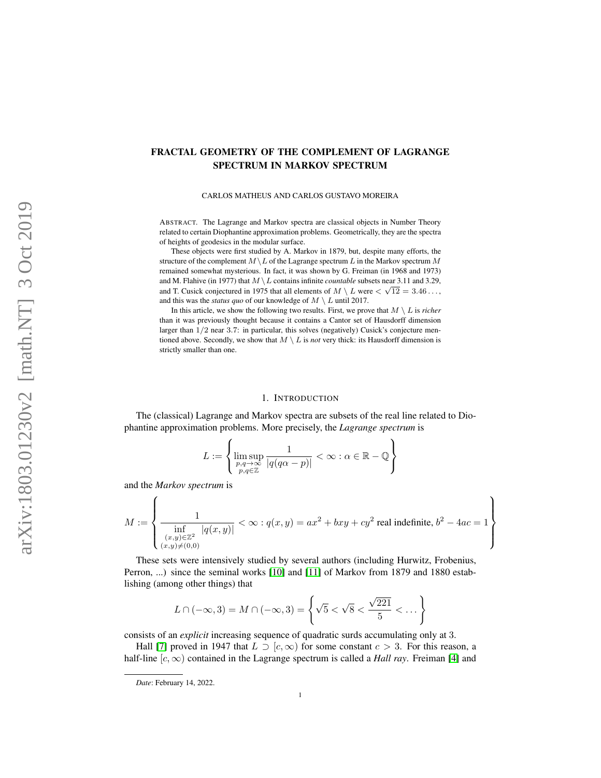# <span id="page-0-0"></span>FRACTAL GEOMETRY OF THE COMPLEMENT OF LAGRANGE SPECTRUM IN MARKOV SPECTRUM

### CARLOS MATHEUS AND CARLOS GUSTAVO MOREIRA

ABSTRACT. The Lagrange and Markov spectra are classical objects in Number Theory related to certain Diophantine approximation problems. Geometrically, they are the spectra of heights of geodesics in the modular surface.

These objects were first studied by A. Markov in 1879, but, despite many efforts, the structure of the complement  $M \setminus L$  of the Lagrange spectrum L in the Markov spectrum M remained somewhat mysterious. In fact, it was shown by G. Freiman (in 1968 and 1973) and M. Flahive (in 1977) that  $M \setminus L$  contains infinite *countable* subsets near 3.11 and 3.29, and T. Cusick conjectured in 1975 that all elements of  $M \setminus L$  were  $\lt \sqrt{12} = 3.46\dots$ , and this was the *status quo* of our knowledge of  $M \setminus L$  until 2017.

In this article, we show the following two results. First, we prove that  $M \setminus L$  is *richer* than it was previously thought because it contains a Cantor set of Hausdorff dimension larger than 1/2 near 3.7: in particular, this solves (negatively) Cusick's conjecture mentioned above. Secondly, we show that  $M \setminus L$  is *not* very thick: its Hausdorff dimension is strictly smaller than one.

#### 1. INTRODUCTION

The (classical) Lagrange and Markov spectra are subsets of the real line related to Diophantine approximation problems. More precisely, the *Lagrange spectrum* is

$$
L := \left\{ \limsup_{\substack{p,q \to \infty \\ p,q \in \mathbb{Z}}} \frac{1}{|q(q\alpha - p)|} < \infty : \alpha \in \mathbb{R} - \mathbb{Q} \right\}
$$

and the *Markov spectrum* is

$$
M := \left\{ \frac{1}{\inf_{\substack{(x,y)\in\mathbb{Z}^2\\(x,y)\neq(0,0)}}|q(x,y)|} < \infty : q(x,y) = ax^2 + bxy + cy^2 \text{ real indefinite, } b^2 - 4ac = 1 \right\}
$$

These sets were intensively studied by several authors (including Hurwitz, Frobenius, Perron, ...) since the seminal works [\[10\]](#page-27-0) and [\[11\]](#page-27-1) of Markov from 1879 and 1880 establishing (among other things) that

$$
L \cap (-\infty, 3) = M \cap (-\infty, 3) = \left\{ \sqrt{5} < \sqrt{8} < \frac{\sqrt{221}}{5} < \dots \right\}
$$

consists of an *explicit* increasing sequence of quadratic surds accumulating only at 3.

Hall [\[7\]](#page-26-0) proved in 1947 that  $L \supset [c, \infty)$  for some constant  $c > 3$ . For this reason, a half-line  $[c, \infty)$  contained in the Lagrange spectrum is called a *Hall ray*. Freiman [\[4\]](#page-26-1) and

*Date*: February 14, 2022.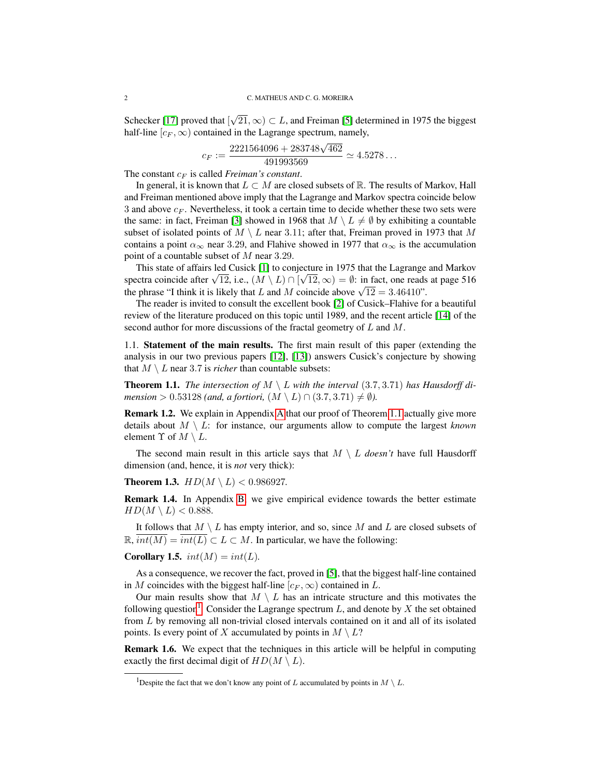Schecker [\[17\]](#page-27-2) proved that [ √  $21, \infty$ )  $\subset L$ , and Freiman [\[5\]](#page-26-2) determined in 1975 the biggest half-line  $[c_F, \infty)$  contained in the Lagrange spectrum, namely,

$$
c_F := \frac{2221564096 + 283748\sqrt{462}}{491993569} \simeq 4.5278...
$$

The constant  $c_F$  is called *Freiman's constant*.

In general, it is known that  $L \subset M$  are closed subsets of R. The results of Markov, Hall and Freiman mentioned above imply that the Lagrange and Markov spectra coincide below 3 and above  $c_F$ . Nevertheless, it took a certain time to decide whether these two sets were the same: in fact, Freiman [\[3\]](#page-26-3) showed in 1968 that  $M \setminus L \neq \emptyset$  by exhibiting a countable subset of isolated points of  $M \setminus L$  near 3.11; after that, Freiman proved in 1973 that M contains a point  $\alpha_{\infty}$  near 3.29, and Flahive showed in 1977 that  $\alpha_{\infty}$  is the accumulation point of a countable subset of M near 3.29.

This state of affairs led Cusick [\[1\]](#page-26-4) to conjecture in 1975 that the Lagrange and Markov This state of arraits led Cusick [1] to conjecture in 1975 that the Lagrange and Markov spectra coincide after  $\sqrt{12}$ , i.e.,  $(M \setminus L) \cap [\sqrt{12}, \infty) = \emptyset$ : in fact, one reads at page 516 spectra coincide after  $\sqrt{12}$ , i.e.,  $\sqrt{M} \sqrt{L}$   $\sqrt{11} \sqrt{12}$ ,  $\infty$   $\sqrt{9}$  = 0: in fact, one reads the phrase "I think it is likely that L and M coincide above  $\sqrt{12}$  = 3.46410".

The reader is invited to consult the excellent book [\[2\]](#page-26-5) of Cusick–Flahive for a beautiful review of the literature produced on this topic until 1989, and the recent article [\[14\]](#page-27-3) of the second author for more discussions of the fractal geometry of L and M.

1.1. Statement of the main results. The first main result of this paper (extending the analysis in our two previous papers [\[12\]](#page-27-4), [\[13\]](#page-27-5)) answers Cusick's conjecture by showing that  $M \setminus L$  near 3.7 is *richer* than countable subsets:

<span id="page-1-0"></span>**Theorem 1.1.** The intersection of  $M \setminus L$  with the interval (3.7, 3.71) has Hausdorff di*mension* > 0.53128 *(and, a fortiori,*  $(M \setminus L) \cap (3.7, 3.71) \neq \emptyset$ ).

Remark 1.2. We explain in Appendix [A](#page-20-0) that our proof of Theorem [1.1](#page-1-0) actually give more details about  $M \setminus L$ : for instance, our arguments allow to compute the largest *known* element  $\Upsilon$  of  $M \setminus L$ .

The second main result in this article says that  $M \setminus L$  *doesn't* have full Hausdorff dimension (and, hence, it is *not* very thick):

<span id="page-1-2"></span>**Theorem 1.3.**  $HD(M \setminus L) < 0.986927$ .

Remark 1.4. In Appendix [B,](#page-22-0) we give empirical evidence towards the better estimate  $HD(M \setminus L) < 0.888$ .

It follows that  $M \setminus L$  has empty interior, and so, since M and L are closed subsets of  $\mathbb{R}, \overline{int(M)} = \overline{int(L)} \subset L \subset M$ . In particular, we have the following:

Corollary 1.5.  $int(M) = int(L)$ .

As a consequence, we recover the fact, proved in [\[5\]](#page-26-2), that the biggest half-line contained in M coincides with the biggest half-line  $[c_F, \infty)$  contained in L.

Our main results show that  $M \setminus L$  has an intricate structure and this motivates the following question<sup>[1](#page-1-1)</sup>. Consider the Lagrange spectrum L, and denote by X the set obtained from L by removing all non-trivial closed intervals contained on it and all of its isolated points. Is every point of X accumulated by points in  $M \setminus L$ ?

Remark 1.6. We expect that the techniques in this article will be helpful in computing exactly the first decimal digit of  $HD(M \setminus L)$ .

<span id="page-1-1"></span><sup>&</sup>lt;sup>1</sup>Despite the fact that we don't know any point of L accumulated by points in  $M \setminus L$ .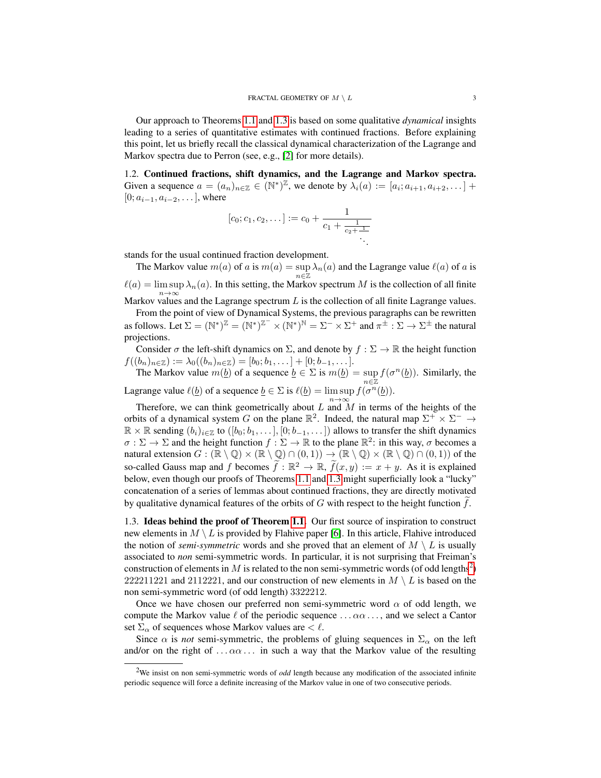Our approach to Theorems [1.1](#page-1-0) and [1.3](#page-1-2) is based on some qualitative *dynamical* insights leading to a series of quantitative estimates with continued fractions. Before explaining this point, let us briefly recall the classical dynamical characterization of the Lagrange and Markov spectra due to Perron (see, e.g., [\[2\]](#page-26-5) for more details).

1.2. Continued fractions, shift dynamics, and the Lagrange and Markov spectra. Given a sequence  $a = (a_n)_{n \in \mathbb{Z}} \in (\mathbb{N}^*)^{\mathbb{Z}}$ , we denote by  $\lambda_i(a) := [a_i; a_{i+1}, a_{i+2}, \dots]$  $[0; a_{i-1}, a_{i-2}, \dots]$ , where

$$
[c_0;c_1,c_2,\ldots] := c_0 + \frac{1}{c_1 + \frac{1}{c_2 + \frac{1}{\ddots}}}
$$

.

stands for the usual continued fraction development.

The Markov value  $m(a)$  of a is  $m(a) = \sup \lambda_n(a)$  and the Lagrange value  $\ell(a)$  of a is  $n\bar{\in}\mathbb{Z}$  $\ell(a) = \limsup \lambda_n(a)$ . In this setting, the Markov spectrum M is the collection of all finite Markov values and the Lagrange spectrum L is the collection of all finite Lagrange values.

From the point of view of Dynamical Systems, the previous paragraphs can be rewritten as follows. Let  $\Sigma = (\mathbb{N}^*)^{\mathbb{Z}} = (\mathbb{N}^*)^{\mathbb{Z}^-} \times (\mathbb{N}^*)^{\mathbb{N}} = \Sigma^- \times \Sigma^+$  and  $\pi^{\pm} : \Sigma \to \Sigma^{\pm}$  the natural projections.

Consider  $\sigma$  the left-shift dynamics on  $\Sigma$ , and denote by  $f : \Sigma \to \mathbb{R}$  the height function  $f((b_n)_{n\in\mathbb{Z}}):=\lambda_0((b_n)_{n\in\mathbb{Z}})=[b_0;b_1,\ldots]+[0;b_{-1},\ldots].$ 

The Markov value  $m(\underline{b})$  of a sequence  $\underline{b} \in \Sigma$  is  $m(\underline{b}) = \sup_{n \in \mathbb{Z}} f(\sigma^n(\underline{b}))$ . Similarly, the Lagrange value  $\ell(\underline{b})$  of a sequence  $\underline{b} \in \Sigma$  is  $\ell(\underline{b}) = \limsup f(\sigma^n(\underline{b}))$ .

Therefore, we can think geometrically about L and M in terms of the heights of the orbits of a dynamical system G on the plane  $\mathbb{R}^2$ . Indeed, the natural map  $\Sigma^+ \times \Sigma^- \to$  $\mathbb{R} \times \mathbb{R}$  sending  $(b_i)_{i \in \mathbb{Z}}$  to  $([b_0; b_1, \ldots], [0; b_{-1}, \ldots])$  allows to transfer the shift dynamics  $\sigma : \Sigma \to \Sigma$  and the height function  $f : \Sigma \to \mathbb{R}$  to the plane  $\mathbb{R}^2$ : in this way,  $\sigma$  becomes a natural extension  $G : (\mathbb{R} \setminus \mathbb{Q}) \times (\mathbb{R} \setminus \mathbb{Q}) \cap (0, 1) \rightarrow (\mathbb{R} \setminus \mathbb{Q}) \times (\mathbb{R} \setminus \mathbb{Q}) \cap (0, 1)$  of the so-called Gauss map and f becomes  $\widetilde{f} : \mathbb{R}^2 \to \mathbb{R}$ ,  $\widetilde{f}(x, y) := x + y$ . As it is explained below, even though our proofs of Theorems [1.1](#page-1-0) and [1.3](#page-1-2) might superficially look a "lucky" concatenation of a series of lemmas about continued fractions, they are directly motivated by qualitative dynamical features of the orbits of  $G$  with respect to the height function  $f$ .

1.3. Ideas behind the proof of Theorem [1.1.](#page-1-0) Our first source of inspiration to construct new elements in  $M \setminus L$  is provided by Flahive paper [\[6\]](#page-26-6). In this article, Flahive introduced the notion of *semi-symmetric* words and she proved that an element of  $M \setminus L$  is usually associated to *non* semi-symmetric words. In particular, it is not surprising that Freiman's construction of elements in M is related to the non semi-symmetric words (of odd lengths<sup>[2](#page-2-0)</sup>) 222211221 and 2112221, and our construction of new elements in  $M \setminus L$  is based on the non semi-symmetric word (of odd length) 3322212.

Once we have chosen our preferred non semi-symmetric word  $\alpha$  of odd length, we compute the Markov value  $\ell$  of the periodic sequence ...  $\alpha\alpha$ ..., and we select a Cantor set  $\Sigma_{\alpha}$  of sequences whose Markov values are  $\langle \ell \rangle$ .

Since  $\alpha$  is *not* semi-symmetric, the problems of gluing sequences in  $\Sigma_{\alpha}$  on the left and/or on the right of  $\ldots \alpha \alpha \ldots$  in such a way that the Markov value of the resulting

<span id="page-2-0"></span><sup>2</sup>We insist on non semi-symmetric words of *odd* length because any modification of the associated infinite periodic sequence will force a definite increasing of the Markov value in one of two consecutive periods.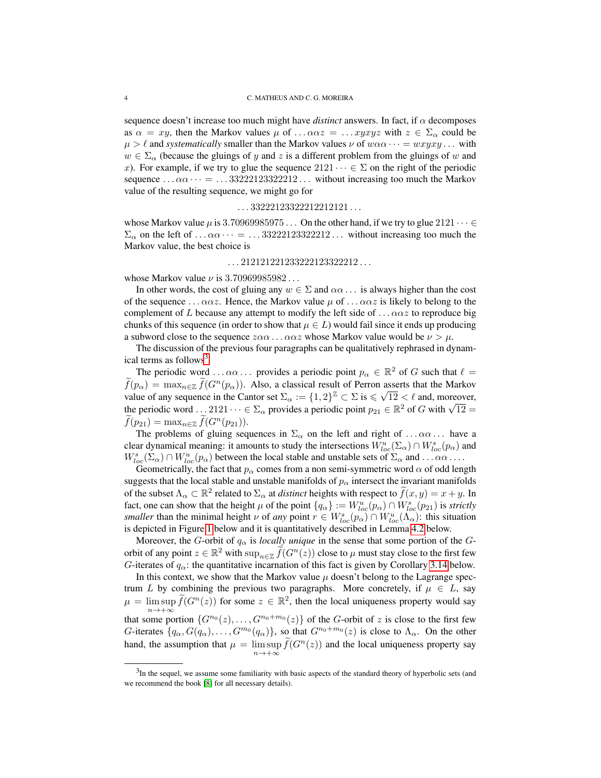sequence doesn't increase too much might have *distinct* answers. In fact, if  $\alpha$  decomposes as  $\alpha = xy$ , then the Markov values  $\mu$  of ...  $\alpha \alpha z = \ldots xyzyz$  with  $z \in \Sigma_{\alpha}$  could be  $\mu > \ell$  and *systematically* smaller than the Markov values  $\nu$  of  $w\alpha\alpha \cdots = wxyxy \dots$  with  $w \in \Sigma_{\alpha}$  (because the gluings of y and z is a different problem from the gluings of w and x). For example, if we try to glue the sequence  $2121 \cdots \in \Sigma$  on the right of the periodic sequence  $\ldots \alpha \alpha \cdots = \ldots 33222123322212 \ldots$  without increasing too much the Markov value of the resulting sequence, we might go for

### $\ldots$  33222123322212212121 $\ldots$

whose Markov value  $\mu$  is 3.70969985975 . . . On the other hand, if we try to glue 2121  $\cdots$   $\in$  $\Sigma_{\alpha}$  on the left of ...  $\alpha\alpha \cdots =$  ... 33222123322212... without increasing too much the Markov value, the best choice is

# $\ldots$  212121221233222123322212 $\ldots$

whose Markov value  $\nu$  is 3.70969985982...

In other words, the cost of gluing any  $w \in \Sigma$  and  $\alpha\alpha \dots$  is always higher than the cost of the sequence ...  $\alpha \alpha z$ . Hence, the Markov value  $\mu$  of ...  $\alpha \alpha z$  is likely to belong to the complement of L because any attempt to modify the left side of  $\ldots \alpha \alpha z$  to reproduce big chunks of this sequence (in order to show that  $\mu \in L$ ) would fail since it ends up producing a subword close to the sequence  $z\alpha\alpha \dots \alpha\alpha z$  whose Markov value would be  $\nu > \mu$ .

The discussion of the previous four paragraphs can be qualitatively rephrased in dynam-ical terms as follows<sup>[3](#page-3-0)</sup>.

The periodic word ...  $\alpha\alpha$ ... provides a periodic point  $p_{\alpha} \in \mathbb{R}^2$  of G such that  $\ell =$  $\widetilde{f}(p_{\alpha}) = \max_{n \in \mathbb{Z}} \widetilde{f}(G^n(p_{\alpha}))$ . Also, a classical result of Perron asserts that the Markov value of any sequence in the Cantor set  $\Sigma_{\alpha} := \{1, 2\}^{\mathbb{Z}} \subset \Sigma$  is  $\leq \sqrt{12} < \ell$  and, moreover, value of any sequence in the Cantor set  $\Delta_{\alpha} := \{1, 2\}^- \subset \Sigma$  is  $\leq \sqrt{12} < \ell$  and, moreover,<br>the periodic word ... 2121  $\cdots \in \Sigma_{\alpha}$  provides a periodic point  $p_{21} \in \mathbb{R}^2$  of G with  $\sqrt{12} =$  $f(p_{21}) = \max_{n \in \mathbb{Z}} f(G^n(p_{21})).$ 

The problems of gluing sequences in  $\Sigma_{\alpha}$  on the left and right of ... $\alpha\alpha$ ... have a clear dynamical meaning: it amounts to study the intersections  $W^u_{loc}(\Sigma_\alpha) \cap W^s_{loc}(p_\alpha)$  and  $W_{loc}^s(\Sigma_\alpha) \cap W_{loc}^u(p_\alpha)$  between the local stable and unstable sets of  $\Sigma_\alpha$  and ... $\alpha\alpha \dots$ 

Geometrically, the fact that  $p_{\alpha}$  comes from a non semi-symmetric word  $\alpha$  of odd length suggests that the local stable and unstable manifolds of  $p_\alpha$  intersect the invariant manifolds of the subset  $\Lambda_{\alpha} \subset \mathbb{R}^2$  related to  $\Sigma_{\alpha}$  at *distinct* heights with respect to  $\widetilde{f}(x, y) = x + y$ . In fact, one can show that the height  $\mu$  of the point  $\{q_\alpha\} := W^u_{loc}(p_\alpha) \cap W^s_{loc}(p_{21})$  is *strictly smaller* than the minimal height  $\nu$  of *any* point  $r \in W_{loc}^s(p_\alpha) \cap W_{loc}^u(\Lambda_\alpha)$ : this situation is depicted in Figure [1](#page-4-0) below and it is quantitatively described in Lemma [4.2](#page-10-0) below.

Moreover, the G-orbit of  $q_\alpha$  is *locally unique* in the sense that some portion of the Gorbit of any point  $z \in \mathbb{R}^2$  with  $\sup_{n \in \mathbb{Z}} \widetilde{f}(G^n(z))$  close to  $\mu$  must stay close to the first few G-iterates of  $q_\alpha$ : the quantitative incarnation of this fact is given by Corollary [3.14](#page-9-0) below.

In this context, we show that the Markov value  $\mu$  doesn't belong to the Lagrange spectrum L by combining the previous two paragraphs. More concretely, if  $\mu \in L$ , say  $\mu = \limsup_{n \to \infty} \widetilde{f}(G^n(z))$  for some  $z \in \mathbb{R}^2$ , then the local uniqueness property would say  $n \rightarrow +\infty$ that some portion  $\{G^{n_0}(z), \ldots, G^{n_0+m_0}(z)\}\$  of the G-orbit of z is close to the first few G-iterates  $\{q_\alpha, G(q_\alpha), \ldots, G^{m_0}(q_\alpha)\}\)$ , so that  $G^{n_0+m_0}(z)$  is close to  $\Lambda_\alpha$ . On the other hand, the assumption that  $\mu = \limsup_{n \to +\infty} \tilde{f}(G^n(z))$  and the local uniqueness property say

<span id="page-3-0"></span> $3$ In the sequel, we assume some familiarity with basic aspects of the standard theory of hyperbolic sets (and we recommend the book [\[8\]](#page-27-6) for all necessary details).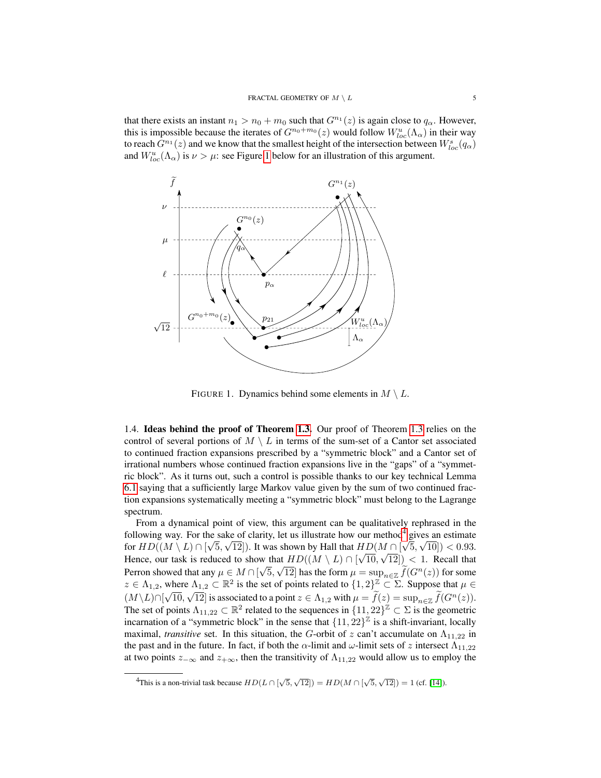that there exists an instant  $n_1 > n_0 + m_0$  such that  $G^{n_1}(z)$  is again close to  $q_\alpha$ . However, this is impossible because the iterates of  $G^{n_0+m_0}(z)$  would follow  $W^u_{loc}(\Lambda_\alpha)$  in their way to reach  $G^{n_1}(z)$  and we know that the smallest height of the intersection between  $W^s_{loc}(q_\alpha)$ and  $W_{loc}^u(\Lambda_\alpha)$  is  $\nu > \mu$ : see Figure [1](#page-4-0) below for an illustration of this argument.



<span id="page-4-0"></span>FIGURE 1. Dynamics behind some elements in  $M \setminus L$ .

1.4. Ideas behind the proof of Theorem [1.3.](#page-1-2) Our proof of Theorem [1.3](#page-1-2) relies on the control of several portions of  $M \setminus L$  in terms of the sum-set of a Cantor set associated to continued fraction expansions prescribed by a "symmetric block" and a Cantor set of irrational numbers whose continued fraction expansions live in the "gaps" of a "symmetric block". As it turns out, such a control is possible thanks to our key technical Lemma [6.1](#page-12-0) saying that a sufficiently large Markov value given by the sum of two continued fraction expansions systematically meeting a "symmetric block" must belong to the Lagrange spectrum.

From a dynamical point of view, this argument can be qualitatively rephrased in the following way. For the sake of clarity, let us illustrate how our method<sup>4</sup> gives an estimate for  $HD((M \setminus L) \cap [\sqrt{5}, \sqrt{12}])$ . It was shown by Hall that  $HD(M \cap [\sqrt{5}, \sqrt{10}]) < 0.93$ . Hence, our task is reduced to show that  $HD((M \setminus L) \cap [\sqrt{10}, \sqrt{12}]) < 1$ . Recall that Perron showed that any  $\mu \in M \cap [\sqrt{5}, \sqrt{12}]$  has the form  $\mu = \sup_{n \in \mathbb{Z}} \tilde{f}(G^n(z))$  for some  $z \in \Lambda_{1,2}$ , where  $\Lambda_{1,2} \subset \mathbb{R}^2$  is the set of points related to  $\{1,2\}^{\mathbb{Z}} \subset \Sigma$ . Suppose that  $\mu \in \Lambda_{1,2}$  $(M\setminus L)\cap [\sqrt{10},\sqrt{12}]$  is associated to a point  $z\in \Lambda_{1,2}$  with  $\mu=\widetilde{f}(z)=\sup_{n\in\mathbb{Z}}\widetilde{f}(G^n(z)).$ The set of points  $\Lambda_{11,22} \subset \mathbb{R}^2$  related to the sequences in  $\{11,22\}^{\mathbb{Z}} \subset \Sigma$  is the geometric incarnation of a "symmetric block" in the sense that  $\{11, 22\}^{\mathbb{Z}}$  is a shift-invariant, locally maximal, *transitive* set. In this situation, the G-orbit of z can't accumulate on  $\Lambda_{11,22}$  in the past and in the future. In fact, if both the  $\alpha$ -limit and  $\omega$ -limit sets of z intersect  $\Lambda_{11,22}$ at two points  $z_{-\infty}$  and  $z_{+\infty}$ , then the transitivity of  $\Lambda_{11,22}$  would allow us to employ the

<span id="page-4-1"></span> $\overline{A_{\text{This is a non-trivial task because } HD(L \cap [\sqrt{5}, \sqrt{12}])} = HD(M \cap [\sqrt{5}, \sqrt{12}]) = 1 \text{ (cf. [14])}.$  $\overline{A_{\text{This is a non-trivial task because } HD(L \cap [\sqrt{5}, \sqrt{12}])} = HD(M \cap [\sqrt{5}, \sqrt{12}]) = 1 \text{ (cf. [14])}.$  $\overline{A_{\text{This is a non-trivial task because } HD(L \cap [\sqrt{5}, \sqrt{12}])} = HD(M \cap [\sqrt{5}, \sqrt{12}]) = 1 \text{ (cf. [14])}.$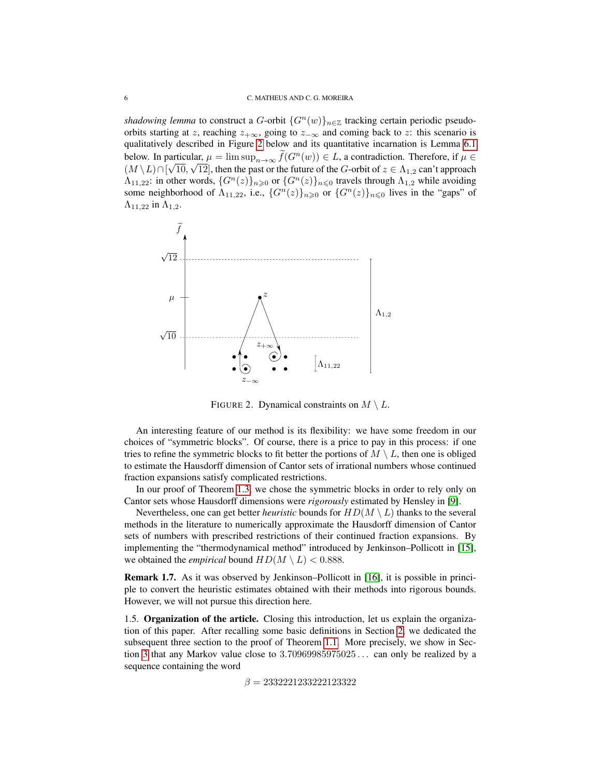*shadowing lemma* to construct a G-orbit  $\{G^n(w)\}_{n\in\mathbb{Z}}$  tracking certain periodic pseudoorbits starting at z, reaching  $z_{+\infty}$ , going to  $z_{-\infty}$  and coming back to z: this scenario is qualitatively described in Figure [2](#page-5-0) below and its quantitative incarnation is Lemma [6.1](#page-12-0) below. In particular,  $\mu = \limsup_{n \to \infty} f(G^n(w)) \in L$ , a contradiction. Therefore, if  $\mu \in L$  $(M \setminus L) \cap [\sqrt{10}, \sqrt{12}]$ , then the past or the future of the G-orbit of  $z \in \Lambda_{1,2}$  can't approach  $\Lambda_{11,22}$ : in other words,  $\{G^n(z)\}_{n\geq 0}$  or  $\{G^n(z)\}_{n\leq 0}$  travels through  $\Lambda_{1,2}$  while avoiding some neighborhood of  $\Lambda_{11,22}$ , i.e.,  $\{G^n(z)\}_{n\geqslant0}$  or  $\{G^n(z)\}_{n\leqslant0}$  lives in the "gaps" of  $\Lambda_{11,22}$  in  $\Lambda_{1,2}$ .



<span id="page-5-0"></span>FIGURE 2. Dynamical constraints on  $M \setminus L$ .

An interesting feature of our method is its flexibility: we have some freedom in our choices of "symmetric blocks". Of course, there is a price to pay in this process: if one tries to refine the symmetric blocks to fit better the portions of  $M \setminus L$ , then one is obliged to estimate the Hausdorff dimension of Cantor sets of irrational numbers whose continued fraction expansions satisfy complicated restrictions.

In our proof of Theorem [1.3,](#page-1-2) we chose the symmetric blocks in order to rely only on Cantor sets whose Hausdorff dimensions were *rigorously* estimated by Hensley in [\[9\]](#page-27-7).

Nevertheless, one can get better *heuristic* bounds for  $HD(M \setminus L)$  thanks to the several methods in the literature to numerically approximate the Hausdorff dimension of Cantor sets of numbers with prescribed restrictions of their continued fraction expansions. By implementing the "thermodynamical method" introduced by Jenkinson–Pollicott in [\[15\]](#page-27-8), we obtained the *empirical* bound  $HD(M \setminus L) < 0.888$ .

Remark 1.7. As it was observed by Jenkinson–Pollicott in [\[16\]](#page-27-9), it is possible in principle to convert the heuristic estimates obtained with their methods into rigorous bounds. However, we will not pursue this direction here.

1.5. Organization of the article. Closing this introduction, let us explain the organization of this paper. After recalling some basic definitions in Section [2,](#page-6-0) we dedicated the subsequent three section to the proof of Theorem [1.1.](#page-1-0) More precisely, we show in Section [3](#page-6-1) that any Markov value close to 3.70969985975025 . . . can only be realized by a sequence containing the word

 $\beta = 2332221233222123322$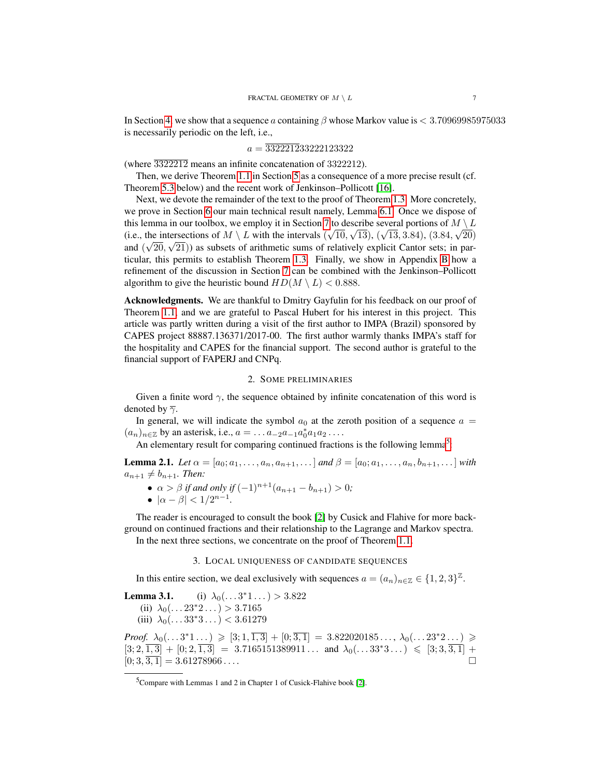In Section [4,](#page-10-1) we show that a sequence a containing  $\beta$  whose Markov value is  $\lt 3.70969985975033$ is necessarily periodic on the left, i.e.,

$$
a = \overline{332221233222123322}
$$

(where 3322212 means an infinite concatenation of 3322212).

Then, we derive Theorem [1.1](#page-1-0) in Section [5](#page-12-1) as a consequence of a more precise result (cf. Theorem [5.3](#page-12-2) below) and the recent work of Jenkinson–Pollicott [\[16\]](#page-27-9).

Next, we devote the remainder of the text to the proof of Theorem [1.3.](#page-1-2) More concretely, we prove in Section [6](#page-12-3) our main technical result namely, Lemma [6.1.](#page-12-0) Once we dispose of this lemma in our toolbox, we employ it in Section [7](#page-13-0) to describe several portions of  $M \setminus L$ (i.e., the intersections of  $M \setminus L$  with the intervals  $(\sqrt{10}, \sqrt{13})$ ,  $(\sqrt{13}, 3.84)$ ,  $(3.84, \sqrt{20})$ and  $(\sqrt{20}, \sqrt{21})$  as subsets of arithmetic sums of relatively explicit Cantor sets; in particular, this permits to establish Theorem [1.3.](#page-1-2) Finally, we show in Appendix [B](#page-22-0) how a refinement of the discussion in Section [7](#page-13-0) can be combined with the Jenkinson–Pollicott algorithm to give the heuristic bound  $HD(M \setminus L) < 0.888$ .

Acknowledgments. We are thankful to Dmitry Gayfulin for his feedback on our proof of Theorem [1.1,](#page-1-0) and we are grateful to Pascal Hubert for his interest in this project. This article was partly written during a visit of the first author to IMPA (Brazil) sponsored by CAPES project 88887.136371/2017-00. The first author warmly thanks IMPA's staff for the hospitality and CAPES for the financial support. The second author is grateful to the financial support of FAPERJ and CNPq.

### 2. SOME PRELIMINARIES

<span id="page-6-0"></span>Given a finite word  $\gamma$ , the sequence obtained by infinite concatenation of this word is denoted by  $\overline{\gamma}$ .

In general, we will indicate the symbol  $a_0$  at the zeroth position of a sequence  $a =$  $(a_n)_{n \in \mathbb{Z}}$  by an asterisk, i.e.,  $a = \dots a_{-2}a_{-1}a_0^*a_1a_2\dots$ 

An elementary result for comparing continued fractions is the following lemma<sup>[5](#page-6-2)</sup>:

<span id="page-6-3"></span>**Lemma 2.1.** *Let*  $\alpha = [a_0; a_1, \ldots, a_n, a_{n+1}, \ldots]$  *and*  $\beta = [a_0; a_1, \ldots, a_n, b_{n+1}, \ldots]$  *with*  $a_{n+1} \neq b_{n+1}$ *. Then:* 

- $\alpha > \beta$  *if and only if*  $(-1)^{n+1}(a_{n+1} b_{n+1}) > 0$ *;*
- $|\alpha \beta| < 1/2^{n-1}$ .

The reader is encouraged to consult the book [\[2\]](#page-26-5) by Cusick and Flahive for more background on continued fractions and their relationship to the Lagrange and Markov spectra.

In the next three sections, we concentrate on the proof of Theorem [1.1.](#page-1-0)

# 3. LOCAL UNIQUENESS OF CANDIDATE SEQUENCES

<span id="page-6-1"></span>In this entire section, we deal exclusively with sequences  $a = (a_n)_{n \in \mathbb{Z}} \in \{1, 2, 3\}^{\mathbb{Z}}$ .

**Lemma 3.1.** (i)  $\lambda_0(\dots 3^*1 \dots) > 3.822$ (ii)  $\lambda_0(\ldots 23^*2 \ldots) > 3.7165$ (iii)  $\lambda_0(\ldots 33^*3 \ldots) < 3.61279$ 

*Proof.*  $\lambda_0(\ldots 3^*1 \ldots) \geqslant [3; 1, \overline{1,3}] + [0; \overline{3,1}] = 3.822020185 \ldots, \lambda_0(\ldots 23^*2 \ldots) \geqslant$  $[3; 2, \overline{1,3}] + [0; 2, \overline{1,3}] = 3.7165151389911...$  and  $\lambda_0(\ldots 33^*3...) \leq [3; 3, \overline{3,1}] +$  $[0; 3, \overline{3, 1}] = 3.61278966\dots$ 

<span id="page-6-2"></span> ${}^{5}$ Compare with Lemmas 1 and 2 in Chapter 1 of Cusick-Flahive book [\[2\]](#page-26-5).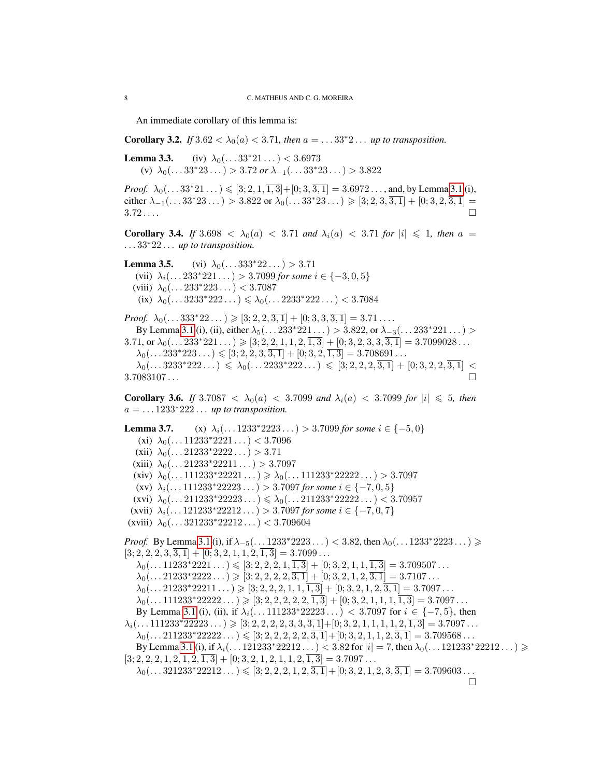An immediate corollary of this lemma is:

**Corollary 3.2.** *If*  $3.62 < \lambda_0(a) < 3.71$ *, then*  $a = ... 33^*2...$  *up to transposition.* 

**Lemma 3.3.** (iv)  $\lambda_0(\dots 33^*21\dots) < 3.6973$ (v)  $\lambda_0(\ldots 33^*23 \ldots) > 3.72$  *or*  $\lambda_{-1}(\ldots 33^*23 \ldots) > 3.822$ 

*Proof.*  $\lambda_0(\ldots 33^*21 \ldots) \leqslant [3; 2, 1, \overline{1,3}] + [0; 3, \overline{3,1}] = 3.6972 \ldots$ , and, by Lemma [3.1](#page-0-0) (i), either  $\lambda_{-1}(\ldots 33^*23 \ldots) > 3.822$  or  $\lambda_0(\ldots 33^*23 \ldots) \geqslant [3; 2, 3, \overline{3, 1}] + [0; 3, 2, \overline{3, 1}] =$ 3.72 . . . .

**Corollary 3.4.** *If*  $3.698 < \lambda_0(a) < 3.71$  *and*  $\lambda_i(a) < 3.71$  *for*  $|i| \le 1$ *, then*  $a =$ . . . 33∗22 . . . *up to transposition.*

**Lemma 3.5.** (vi)  $\lambda_0(\dots 333^*22\dots) > 3.71$ (vii)  $\lambda_i(\dots 233^*221\dots) > 3.7099$  *for some*  $i \in \{-3,0,5\}$ (viii)  $\lambda_0(\dots 233^*223\dots) < 3.7087$  $(ix)$   $\lambda_0(\ldots 3233^*222 \ldots) \leq \lambda_0(\ldots 2233^*222 \ldots) < 3.7084$ 

*Proof.*  $\lambda_0(\ldots 333^*22 \ldots) \geqslant [3; 2, 2, \overline{3, 1}] + [0; 3, 3, \overline{3, 1}] = 3.71 \ldots$ By Lemma [3.1](#page-0-0) (i), (ii), either  $\lambda_5(\dots 233^*221\dots) > 3.822$ , or  $\lambda_{-3}(\dots 233^*221\dots)$ 3.71, or  $\lambda_0(\ldots 233*221 \ldots) \geqslant [3; 2, 2, 1, 1, 2, \overline{1, 3}] + [0; 3, 2, 3, 3, \overline{3, 1}] = 3.7099028 \ldots$  $\lambda_0(\ldots 233*223 \ldots) \leqslant [3; 2, 2, 3, \overline{3, 1}] + [0; 3, 2, \overline{1, 3}] = 3.708691 \ldots$  $\lambda_0(\dots 3233^*222\dots) \leqslant \lambda_0(\dots 2233^*222\dots) \leqslant [3; 2, 2, 2, 3, 1] + [0; 3, 2, 2, 3, 1] <$  $3.7083107...$ 

<span id="page-7-0"></span>**Corollary 3.6.** *If*  $3.7087 < \lambda_0(a) < 3.7099$  *and*  $\lambda_i(a) < 3.7099$  *for*  $|i| \le 5$ *, then* a = . . . 1233<sup>∗</sup>222 . . . *up to transposition.*

**Lemma 3.7.** (x)  $\lambda_i$ (... 1233\*2223...) > 3.7099 *for some*  $i \in \{-5, 0\}$ (xi)  $\lambda_0(\ldots 11233^*2221 \ldots) < 3.7096$ (xii)  $\lambda_0(\ldots 21233^*2222 \ldots) > 3.71$ (xiii)  $\lambda_0(\ldots 21233^*22211 \ldots) > 3.7097$ (xiv)  $\lambda_0(\dots 111233^*22221\dots) \geq \lambda_0(\dots 111233^*22222\dots) > 3.7097$ (xv)  $\lambda_i(\dots 111233^*22223\dots) > 3.7097$  *for some*  $i \in \{-7,0,5\}$  $(xvi)$   $\lambda_0$ (...211233\*22223...)  $\leq \lambda_0$ (...211233\*22222...) < 3.70957 (xvii)  $\lambda_i(\dots 121233^*22212\dots) > 3.7097$  for some  $i \in \{-7,0,7\}$ (xviii)  $\lambda_0(\dots 321233^*22212\dots) < 3.709604$ *Proof.* By Lemma [3.1](#page-0-0) (i), if  $\lambda_{-5}(\ldots 1233*2223 \ldots) < 3.82$ , then  $\lambda_0(\ldots 1233*2223 \ldots) \geq$  $[3; 2, 2, 2, 3, \overline{3, 1}] + [0; 3, 2, 1, 1, 2, \overline{1, 3}] = 3.7099...$  $\lambda_0(\ldots 11233^*2221 \ldots) \leqslant [3; 2, 2, 2, 1, \overline{1, 3}] + [0; 3, 2, 1, 1, \overline{1, 3}] = 3.709507 \ldots$  $\lambda_0(\ldots 21233^*2222\ldots) \geqslant [3; 2, 2, 2, 2, \overline{3, 1}] + [0; 3, 2, 1, 2, \overline{3, 1}] = 3.7107\ldots$  $\lambda_0(\ldots 21233^*22211 \ldots) \geqslant [3; 2, 2, 2, 1, 1, \overline{1, 3}] + [0; 3, 2, 1, 2, \overline{3, 1}] = 3.7097 \ldots$  $\lambda_0(\ldots 111233^*22222\ldots) \geqslant [3; 2, 2, 2, 2, 2, \overline{1, 3}] + [0; 3, 2, 1, 1, 1, \overline{1, 3}] = 3.7097\ldots$ By Lemma [3.1](#page-0-0) (i), (ii), if  $\lambda_i(\dots 111233^*22223\dots) < 3.7097$  for  $i \in \{-7, 5\}$ , then  $\lambda_i(\ldots 111233^*22223\ldots) \geqslant [3; 2, 2, 2, 2, 3, 3, 3, 1] + [0; 3, 2, 1, 1, 1, 1, 2, 1, 3] = 3.7097\ldots$  $\lambda_0(\ldots 211233^*22222\ldots) \leqslant [3; 2, 2, 2, 2, 2, 3, 1] + [0; 3, 2, 1, 1, 2, 3, 1] = 3.709568 \ldots$ By Lemma [3.1](#page-0-0) (i), if  $\lambda_i(\ldots 121233*22212 \ldots) < 3.82$  for  $|i| = 7$ , then  $\lambda_0(\ldots 121233*22212 \ldots) \ge$  $[3; 2, 2, 2, 1, 2, 1, 2, \overline{1, 3}] + [0; 3, 2, 1, 2, 1, 1, 2, \overline{1, 3}] = 3.7097...$  $\lambda_0(\ldots 321233^*22212 \ldots) \leqslant [3; 2, 2, 2, 1, 2, \overline{3, 1}] + [0; 3, 2, 1, 2, 3, \overline{3, 1}] = 3.709603 \ldots$  $\Box$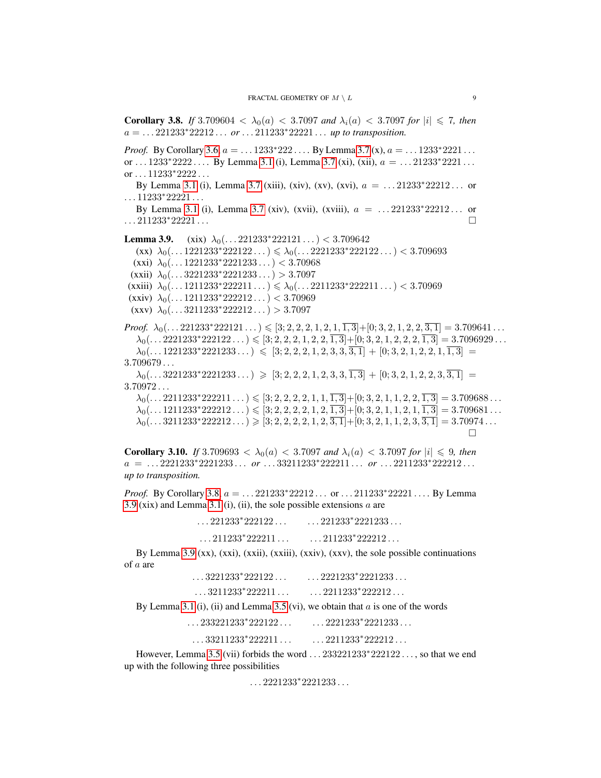<span id="page-8-0"></span>**Corollary 3.8.** *If* 3.709604  $\langle \lambda_0(a) \rangle \langle \lambda_1(a) \rangle \langle \lambda_2(a) \rangle \langle \lambda_3(a) \rangle$  for  $|i| \leq 7$ , then  $a = ... 221233*22212...$  *or*  $... 211233*22221...$  *up to transposition.* 

*Proof.* By Corollary [3.6,](#page-7-0)  $a = \dots 1233*222 \dots$  By Lemma [3.7](#page-0-0) (x),  $a = \dots 1233*2221 \dots$ or  $\dots$  1233\*2222  $\dots$  By Lemma [3.1](#page-0-0) (i), Lemma [3.7](#page-0-0) (xi), (xii),  $a = \dots$  21233\*2221 $\dots$ or . . . 11233\*2222 . . .

By Lemma [3.1](#page-0-0) (i), Lemma [3.7](#page-0-0) (xiii), (xiv), (xv), (xvi),  $a = ...21233*22212...$  or  $\ldots$ 11233\*22221 $\ldots$ 

By Lemma [3.1](#page-0-0) (i), Lemma [3.7](#page-0-0) (xiv), (xvii), (xviii),  $a = ... 221233*22212...$  or . . . 211233∗22221 . . .

**Lemma 3.9.** (xix)  $\lambda_0$ (...221233\*222121...) < 3.709642  $(\text{xx}) \; \lambda_0(\ldots 1221233^*222122 \ldots) \leq \lambda_0(\ldots 2221233^*222122 \ldots) < 3.709693$ (xxi)  $\lambda_0(\dots 1221233^*2221233\dots) < 3.70968$ (xxii)  $\lambda_0$ (...3221233\*2221233...) > 3.7097 (xxiii)  $\lambda_0(\dots 1211233^*222211\dots) \leq \lambda_0(\dots 2211233^*222211\dots) < 3.70969$ (xxiv)  $\lambda_0(\dots 1211233^*222212\dots) < 3.70969$ (xxv)  $\lambda_0(\ldots 3211233^*222212 \ldots) > 3.7097$ 

*Proof.*  $\lambda_0(\ldots 221233^*222121 \ldots) \leqslant [3; 2, 2, 2, 1, 2, 1, \overline{1, 3}] + [0; 3, 2, 1, 2, 2, \overline{3, 1}] = 3.709641 \ldots$  $\lambda_0(\ldots 2221233^*222122 \ldots) \leqslant [3; 2, 2, 2, 1, 2, 2, \overline{1, 3}] + [0; 3, 2, 1, 2, 2, 2, \overline{1, 3}] = 3.7096929 \ldots$  $\lambda_0(\ldots 1221233^*2221233 \ldots) \leq [3; 2, 2, 2, 1, 2, 3, 3, 3, 3, 1] + [0; 3, 2, 1, 2, 2, 1, 1, 3] =$ 3.709679 . . .  $\lambda_0(\ldots 3221233^*2221233 \ldots) \geqslant [3; 2, 2, 2, 1, 2, 3, 3, \overline{1, 3}] + [0; 3, 2, 1, 2, 2, 3, \overline{3, 1}] =$  $3.70972...$ 

 $\lambda_0(\ldots 2211233^*222211 \ldots) \leqslant [3; 2, 2, 2, 2, 1, 1, \overline{1, 3}] + [0; 3, 2, 1, 1, 2, 2, \overline{1, 3}] = 3.709688 \ldots$  $\lambda_0(\ldots 1211233^*222212 \ldots) \leqslant [3; 2, 2, 2, 2, 1, 2, \overline{1, 3}] + [0; 3, 2, 1, 1, 2, 1, \overline{1, 3}] = 3.709681 \ldots$  $\lambda_0(\ldots 3211233^*222212 \ldots) \geqslant [3; 2, 2, 2, 2, 1, 2, 3, 1] + [0; 3, 2, 1, 1, 2, 3, 3, 1] = 3.70974 \ldots$  $\Box$ 

<span id="page-8-1"></span>**Corollary 3.10.** *If* 3.709693  $\langle \lambda_0(a) \rangle \langle \langle 3.7097 \rangle$  *and*  $\lambda_i(a) \langle \langle 3.7097 \rangle$  *for*  $|i| \leq 9$ *, then* a = . . . 2221233<sup>∗</sup>2221233 . . . *or* . . . 33211233<sup>∗</sup>222211 . . . *or* . . . 2211233<sup>∗</sup>222212 . . . *up to transposition.*

*Proof.* By Corollary [3.8,](#page-8-0)  $a = \ldots 221233*22212 \ldots$  or  $\ldots 211233*22221 \ldots$  By Lemma [3.9](#page-0-0) (xix) and Lemma [3.1](#page-0-0) (i), (ii), the sole possible extensions  $a$  are

| $\ldots$ 221233*222122 $\ldots$ | $\ldots$ 221233*2221233 |
|---------------------------------|-------------------------|
| $\ldots$ 211233*222211          | $\ldots$ 211233*222212  |

By Lemma [3.9](#page-0-0)  $(xx)$ ,  $(xxii)$ ,  $(xxiii)$ ,  $(xxiv)$ ,  $(xxv)$ , the sole possible continuations of a are . . . 3221233<sup>∗</sup>

| $\ldots$ 3221233*222122 $\ldots$ | $\ldots$ 2221233*2221233 |
|----------------------------------|--------------------------|
|----------------------------------|--------------------------|

| $\ldots$ 2211233*222212<br>$\ldots$ 3211233*222211 $\ldots$ |
|-------------------------------------------------------------|
|-------------------------------------------------------------|

By Lemma [3.1](#page-0-0) (i), (ii) and Lemma [3.5](#page-0-0) (vi), we obtain that  $a$  is one of the words

... 233221233<sup>\*</sup> 222122 ... ... ... 2221233<sup>\*</sup>  $\ldots$  2221233\*2221233  $\ldots$ 

. . . 33211233<sup>∗</sup>  $222211...$  ...  $2211233*222212...$ 

However, Lemma [3.5](#page-0-0) (vii) forbids the word . . . 233221233<sup>∗</sup>222122 . . . , so that we end up with the following three possibilities

. . . 2221233<sup>∗</sup> 2221233 . . .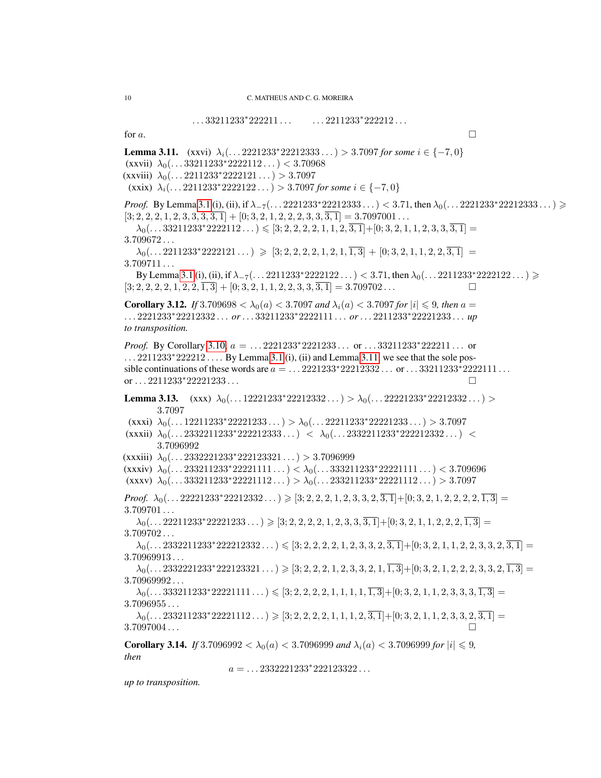<span id="page-9-1"></span> $\ldots$ 33211233<sup>\*</sup>222211 . . . . . . . . 2211233<sup>\*</sup>222212 . . . for a. **Lemma 3.11.** (xxvi)  $\lambda_i$ . . . . 2221233\*22212333 . . . ) > 3.7097 *for some*  $i \in \{-7,0\}$ (xxvii)  $\lambda_0(\ldots 33211233^*2222112 \ldots) < 3.70968$ (xxviii)  $\lambda_0(\ldots 2211233^*2222121 \ldots) > 3.7097$ (xxix)  $\lambda_i$ (...2211233\*2222122...) > 3.7097 *for some*  $i \in \{-7,0\}$ *Proof.* By Lemma [3.1](#page-0-0) (i), (ii), if  $\lambda_{-7}$ (... 2221233\*22212333...) < 3.71, then  $\lambda_0$ (... 2221233\*22212333...) >  $[3; 2, 2, 2, 1, 2, 3, 3, 3, \overline{3, 1}] + [0; 3, 2, 1, 2, 2, 2, 3, 3, \overline{3, 1}] = 3.7097001...$  $\lambda_0(\ldots 33211233^*2222112 \ldots) \leqslant [3; 2, 2, 2, 2, 1, 1, 2, \overline{3, 1}] + [0; 3, 2, 1, 1, 2, 3, 3, \overline{3, 1}] =$ 3.709672 . . .  $\lambda_0(\ldots 2211233^*2222121 \ldots) \geqslant [3; 2, 2, 2, 2, 1, 2, 1, \overline{1, 3}] + [0; 3, 2, 1, 1, 2, 2, \overline{3, 1}] =$ 3.709711 . . . By Lemma [3.1](#page-0-0) (i), (ii), if  $\lambda_{-7}(\ldots 2211233*222122 \ldots) < 3.71$ , then  $\lambda_0(\ldots 2211233*222122 \ldots) \ge$  $[3; 2, 2, 2, 2, 1, 2, 2, \overline{1, 3}] + [0; 3, 2, 1, 1, 2, 2, 3, 3, \overline{3, 1}] = 3.709702...$ **Corollary 3.12.** *If* 3.709698  $\lt \lambda_0(a) \lt 3.7097$  *and*  $\lambda_i(a) \lt 3.7097$  *for*  $|i| \leq 9$ *, then*  $a =$ . . . 2221233<sup>∗</sup>22212332 . . . *or*. . . 33211233<sup>∗</sup>2222111 . . . *or*. . . 2211233<sup>∗</sup>22221233 . . . *up to transposition. Proof.* By Corollary [3.10,](#page-8-1)  $a =$  ... 2221233\*2221233 ... or ... 33211233\*222211 ... or  $\ldots$  2211233<sup>\*</sup> 222212  $\ldots$  By Lemma [3.1](#page-0-0) (i), (ii) and Lemma [3.11,](#page-0-0) we see that the sole possible continuations of these words are  $a = ... 2221233*22212332...$  or  $... 33211233*2222111...$ or . . . 2211233\*22221233 . . .  $□$ Lemma 3.13.  $(xxx) \lambda_0(...12221233*22212332...) > \lambda_0(...22221233*22212332...)$ 3.7097 (xxxi)  $\lambda_0(\dots 12211233^*22221233\dots) > \lambda_0(\dots 22211233^*22221233\dots) > 3.7097$  $(xxxi)$   $\lambda_0$ (...2332211233\*222212333 ...) <  $\lambda_0$ (...2332211233\*222212332...) < 3.7096992 (xxxiii)  $\lambda_0$ (...2332221233\*222123321...) > 3.7096999 (xxxiv)  $\lambda_0(\ldots 233211233^*22221111 \ldots) < \lambda_0(\ldots 333211233^*22221111 \ldots) < 3.709696$ (xxxv)  $\lambda_0(\ldots 333211233^*22221112 \ldots) > \lambda_0(\ldots 233211233^*22221112 \ldots) > 3.7097$ *Proof.*  $\lambda_0(\ldots 2221233^*22212332 \ldots) \geqslant [3; 2, 2, 2, 1, 2, 3, 3, 2, 3, 1] + [0; 3, 2, 1, 2, 2, 2, 2, 1, 3] =$  $3.709701...$  $\lambda_0(\ldots 22211233^*22221233 \ldots) \geqslant [3; 2, 2, 2, 2, 1, 2, 3, 3, 3, 1] + [0; 3, 2, 1, 1, 2, 2, 2, 1, 3] =$ 3.709702 . . .  $\lambda_0(\ldots 2332211233^*222212332\ldots) \leq 3; 2, 2, 2, 2, 1, 2, 3, 3, 2, \overline{3, 1} + [0; 3, 2, 1, 1, 2, 2, 3, 3, 2, \overline{3, 1}] =$  $3.70969913...$  $\lambda_0(\ldots 2332221233^*222123321 \ldots) \geqslant [3; 2, 2, 2, 1, 2, 3, 3, 2, 1, \overline{1, 3}] + [0; 3, 2, 1, 2, 2, 2, 3, 3, 2, \overline{1, 3}] =$ 3.70969992 . . .  $\lambda_0(\ldots$  333211233\*22221111  $\ldots$   $\leq$  [3; 2, 2, 2, 2, 1, 1, 1, 1,  $\overline{1,3}$ ]+[0; 3, 2, 1, 1, 2, 3, 3, 3,  $\overline{1,3}$ ] =  $3.7096955...$  $\lambda_0(\ldots 233211233^*22221112 \ldots) \geqslant [3; 2, 2, 2, 2, 1, 1, 1, 2, \overline{3, 1}] + [0; 3, 2, 1, 1, 2, 3, 3, 2, \overline{3, 1}] =$ 3.7097004 . . . **Corollary 3.14.** *If* 3.7096992  $\lt \lambda_0(a) \lt 3.7096999$  *and*  $\lambda_i(a) \lt 3.7096999$  *for*  $|i| \leq 9$ *, then*  $a = \ldots 2332221233^*222123322 \ldots$ 

<span id="page-9-0"></span>*up to transposition.*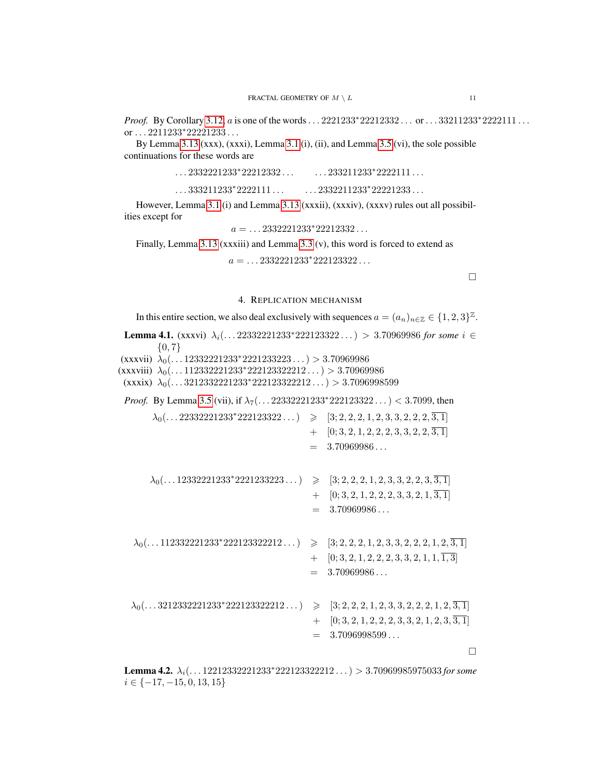*Proof.* By Corollary [3.12,](#page-9-1) a is one of the words. . . 2221233\*22212332 . . . or . . . 33211233\*2222111 . . . or . . . 2211233<sup>∗</sup> 22221233 . . .

By Lemma [3.13](#page-0-0) (xxx), (xxxi), Lemma [3.1](#page-0-0) (i), (ii), and Lemma [3.5](#page-0-0) (vi), the sole possible continuations for these words are

| $\ldots$ 2332221233*22212332        | $\ldots$ 233211233*2222111 $\ldots$ |
|-------------------------------------|-------------------------------------|
| $\ldots$ 333211233*2222111 $\ldots$ | $\ldots$ 2332211233*22221233        |

However, Lemma [3.1](#page-0-0) (i) and Lemma [3.13](#page-0-0) (xxxii), (xxxiv), (xxxv) rules out all possibilities except for

 $a = \dots 2332221233^*22212332\dots$ 

Finally, Lemma [3.13](#page-0-0) (xxxiii) and Lemma [3.3](#page-0-0) (v), this word is forced to extend as

 $a = \dots 2332221233^*222123322\dots$ 

 $\Box$ 

### 4. REPLICATION MECHANISM

<span id="page-10-1"></span>In this entire section, we also deal exclusively with sequences  $a = (a_n)_{n \in \mathbb{Z}} \in \{1, 2, 3\}^{\mathbb{Z}}$ .

**Lemma 4.1.** (xxxvi)  $\lambda_i$ (...22332221233\*222123322...) > 3.70969986 *for some i* ∈  $\{0, 7\}$ (xxxvii)  $\lambda_0(\dots 1233221233*2221233223\dots) > 3.70969986$ (xxxviii)  $\lambda_0(\ldots 11233221233*222123322212\ldots) > 3.70969986$ (xxxix)  $\lambda_0$ (...3212332221233\*222123322212...) > 3.7096998599 *Proof.* By Lemma [3.5](#page-0-0) (vii), if  $\lambda_7(\ldots 22332221233*222123322\ldots) < 3.7099$ , then  $\lambda_0(\ldots 22332221233^*222123322\ldots) \geq [3; 2, 2, 2, 1, 2, 3, 3, 2, 2, 2, \overline{3, 1}]$  $+$  [0; 3, 2, 1, 2, 2, 2, 3, 3, 2, 2,  $\overline{3,1}$ ]  $= 3.70969986...$  $\lambda_0(\ldots 12332221233^*2221233223\ldots) \geq [3; 2, 2, 2, 1, 2, 3, 3, 2, 2, 3, \overline{3, 1}]$  $+$  [0; 3, 2, 1, 2, 2, 2, 3, 3, 2, 1,  $\overline{3,1}$ ]  $= 3.70969986...$  $\lambda_0(\ldots 112332221233^*222123322212\ldots) \geqslant [3; 2, 2, 2, 1, 2, 3, 3, 2, 2, 2, 1, 2, \overline{3, 1}]$  $+$  [0; 3, 2, 1, 2, 2, 2, 3, 3, 2, 1, 1,  $\overline{1,3}$ ]  $= 3.70969986...$  $\lambda_0(\ldots 3212332221233^*222123322212\ldots) \geq [3; 2, 2, 2, 1, 2, 3, 3, 2, 2, 2, 1, 2, \overline{3, 1}]$  $+$  [0; 3, 2, 1, 2, 2, 2, 3, 3, 2, 1, 2, 3,  $\overline{3,1}$ ]  $= 3.7096998599...$  $\Box$ 

<span id="page-10-0"></span>Lemma 4.2. λi(. . . 12212332221233<sup>∗</sup>222123322212 . . .) > 3.70969985975033 *for some*  $i \in \{-17, -15, 0, 13, 15\}$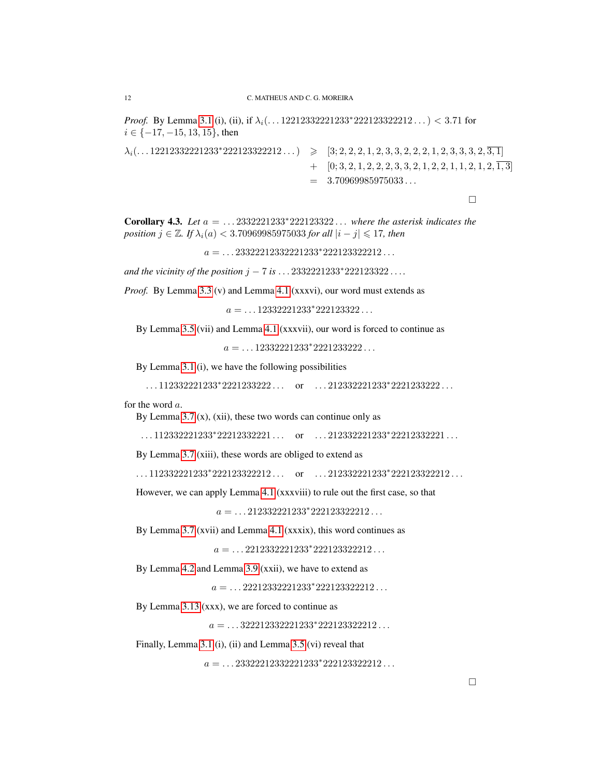*Proof.* By Lemma [3.1](#page-0-0) (i), (ii), if  $\lambda_i$ (...12212332221233\*222123322212...) < 3.71 for  $i \in \{-17, -15, 13, 15\}$ , then

```
\lambda_i(\ldots 12212332221233^*222123322212\ldots) \geqslant [3; 2, 2, 2, 1, 2, 3, 3, 2, 2, 2, 1, 2, 3, 3, 3, 2, \overline{3, 1}]+ [0; 3, 2, 1, 2, 2, 3, 3, 2, 1, 2, 2, 1, 1, 2, 1, 2, \overline{1,3}]
                                              = 3.70969985975033...
```
 $\Box$ 

<span id="page-11-0"></span>Corollary 4.3. *Let* a = . . . 2332221233∗222123322 . . . *where the asterisk indicates the position*  $j \in \mathbb{Z}$ *. If*  $\lambda_i(a) < 3.70969985975033$  *for all*  $|i - j| \leq 17$ *, then* 

 $a = \ldots 23322212332221233^*222123322212 \ldots$ 

*and the vicinity of the position*  $j - 7$  *is*  $\dots$  2332221233<sup>\*</sup>222123322 $\dots$ 

*Proof.* By Lemma [3.3](#page-0-0) (v) and Lemma [4.1](#page-0-0) (xxxvi), our word must extends as

 $a = \ldots 12332221233^*222123322 \ldots$ 

By Lemma [3.5](#page-0-0) (vii) and Lemma [4.1](#page-0-0) (xxxvii), our word is forced to continue as

 $a = \ldots 12332221233*2221233222 \ldots$ 

By Lemma [3.1](#page-0-0) (i), we have the following possibilities

 $\dots$ 112332221233\*2221233222 $\dots$  or  $\dots$ 212332221233\*2221233222 $\dots$ 

for the word a.

By Lemma [3.7](#page-0-0)  $(x)$ ,  $(xii)$ , these two words can continue only as

 $\dots$ 112332221233\*22212332221 $\dots$  or  $\dots$ 212332221233\*22212332221 $\dots$ 

By Lemma [3.7](#page-0-0) (xiii), these words are obliged to extend as

 $\dots$ 112332221233\*222123322212 ... or  $\dots$ 212332221233\*222123322212 ...

However, we can apply Lemma [4.1](#page-0-0) (xxxviii) to rule out the first case, so that

 $a = \ldots 212332221233*222123322212 \ldots$ 

By Lemma [3.7](#page-0-0) (xvii) and Lemma [4.1](#page-0-0) (xxxix), this word continues as

 $a = \ldots 2212332221233^*222123322212 \ldots$ 

By Lemma [4.2](#page-10-0) and Lemma [3.9](#page-0-0) (xxii), we have to extend as

 $a = \ldots 22212332221233^*222123322212 \ldots$ 

By Lemma [3.13](#page-0-0) (xxx), we are forced to continue as

 $a = \ldots 322212332221233^*222123322212 \ldots$ 

Finally, Lemma [3.1](#page-0-0) (i), (ii) and Lemma [3.5](#page-0-0) (vi) reveal that

 $a = \dots 23322212332221233^*222123322212\dots$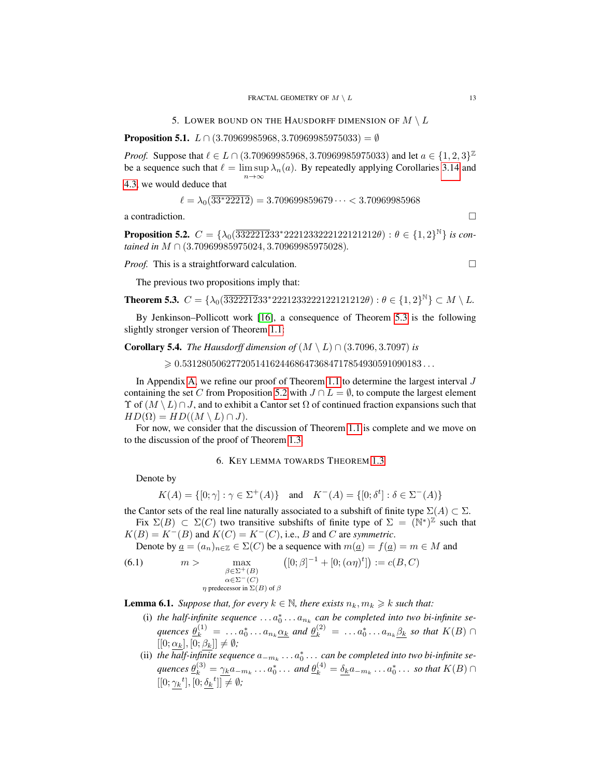<span id="page-12-6"></span><span id="page-12-1"></span>**Proposition 5.1.**  $L \cap (3.70969985968, 3.70969985975033) = \emptyset$ 

*Proof.* Suppose that  $\ell \in L \cap (3.70969985968, 3.70969985975033)$  and let  $a \in \{1, 2, 3\}^{\mathbb{Z}}$ be a sequence such that  $\ell = \limsup \lambda_n(a)$ . By repeatedly applying Corollaries [3.14](#page-9-0) and  $n \rightarrow \infty$ [4.3,](#page-11-0) we would deduce that

$$
\ell = \lambda_0(\overline{33^*22212}) = 3.709699859679\dots < 3.70969985968
$$

a contradiction.  $\Box$ 

<span id="page-12-4"></span>**Proposition 5.2.**  $C = \{\lambda_0(\overline{3322212}33*2221233222122121212\theta) : \theta \in \{1,2\}^{\mathbb{N}}\}$  *is contained in* M ∩ (3.70969985975024, 3.70969985975028)*.*

*Proof.* This is a straightforward calculation. □

The previous two propositions imply that:

<span id="page-12-2"></span>**Theorem 5.3.** 
$$
C = \{\lambda_0(\overline{3322212}33^*2221233222122121212\theta) : \theta \in \{1, 2\}^{\mathbb{N}}\} \subset M \setminus L
$$
.

By Jenkinson–Pollicott work [\[16\]](#page-27-9), a consequence of Theorem [5.3](#page-12-2) is the following slightly stronger version of Theorem [1.1:](#page-1-0)

### **Corollary 5.4.** *The Hausdorff dimension of*  $(M \setminus L) \cap (3.7096, 3.7097)$  *is*

 $\geqslant 0.5312805062772051416244686473684717854930591090183\ldots$ 

In Appendix [A,](#page-20-0) we refine our proof of Theorem [1.1](#page-1-0) to determine the largest interval  $J$ containing the set C from Proposition [5.2](#page-12-4) with  $J \cap L = \emptyset$ , to compute the largest element  $\Upsilon$  of  $(M \setminus L) \cap J$ , and to exhibit a Cantor set  $\Omega$  of continued fraction expansions such that  $HD(\Omega) = HD((M \setminus L) \cap J).$ 

For now, we consider that the discussion of Theorem [1.1](#page-1-0) is complete and we move on to the discussion of the proof of Theorem [1.3.](#page-1-2)

### 6. KEY LEMMA TOWARDS THEOREM [1.3](#page-1-2)

<span id="page-12-3"></span>Denote by

$$
K(A) = \{ [0; \gamma] : \gamma \in \Sigma^+(A) \} \text{ and } K^-(A) = \{ [0; \delta^t] : \delta \in \Sigma^-(A) \}
$$

the Cantor sets of the real line naturally associated to a subshift of finite type  $\Sigma(A) \subset \Sigma$ . Fix  $\Sigma(B) \subset \Sigma(C)$  two transitive subshifts of finite type of  $\Sigma = \overbrace{(N^*)^{\mathbb{Z}}}^{\infty}$  such that  $K(B) = K^{-}(B)$  and  $K(C) = K^{-}(C)$ , i.e., B and C are *symmetric*.

<span id="page-12-5"></span>Denote by  $\underline{a} = (a_n)_{n \in \mathbb{Z}} \in \Sigma(C)$  be a sequence with  $m(\underline{a}) = f(\underline{a}) = m \in M$  and

(6.1) 
$$
m > \max_{\substack{\beta \in \Sigma^+(B) \\ \alpha \in \Sigma^-(C)}} ([0; \beta]^{-1} + [0; (\alpha \eta)^t]) := c(B, C)
$$
  
*\eta* predecessor in  $\Sigma(B)$  of  $\beta$ 

<span id="page-12-0"></span>**Lemma 6.1.** *Suppose that, for every*  $k \in \mathbb{N}$ *, there exists*  $n_k, m_k \geq k$  *such that:* 

- (i) the half-infinite sequence  $\dots a_0^* \dots a_{n_k}$  can be completed into two bi-infinite sequences  $\theta_k^{(1)} = \ldots a_0^* \ldots a_{n_k} \underline{\alpha_k}$  and  $\theta_k^{(2)} = \ldots a_0^* \ldots a_{n_k} \underline{\beta_k}$  so that  $K(B) \cap$  $[[0; \alpha_k], [0; \beta_k]] \neq \emptyset;$
- (ii) the  $\overline{half\text{-}infinite}$  sequence  $a_{-m_k}\dots a_0^*\dots$  can be completed into two bi-infinite sequences  $\underline{\theta}_k^{(3)} = \underline{\gamma_k} a_{-m_k} \dots a_0^* \dots$  and  $\underline{\theta}_k^{(4)} = \underline{\delta_k} a_{-m_k} \dots a_0^* \dots$  so that  $K(B) \cap$  $[[0; \gamma_k^t], [0; \underline{\delta_k}^t]] \neq \emptyset;$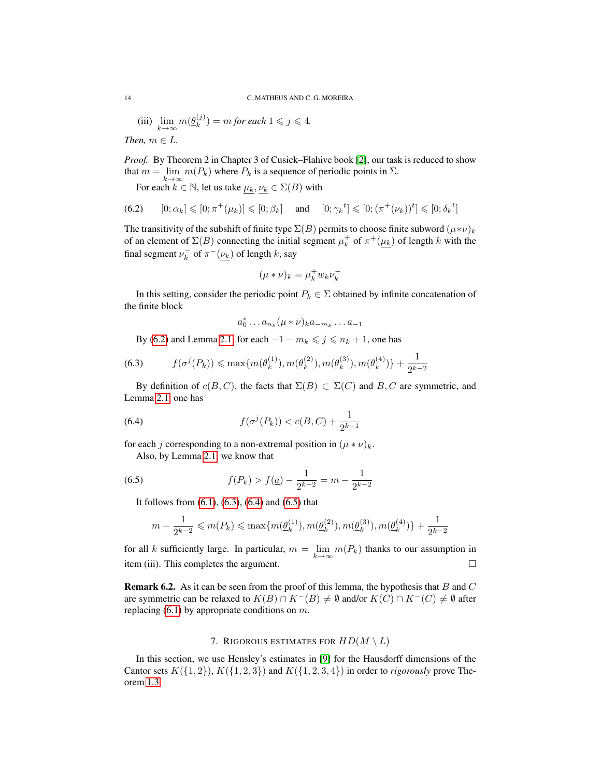(iii)  $\lim_{k \to \infty} m(\underline{\theta}_k^{(j)})$  $\binom{(j)}{k}$  = *m* for each  $1 \leq j \leq 4$ .

*Then,*  $m \in L$ .

*Proof.* By Theorem 2 in Chapter 3 of Cusick–Flahive book [\[2\]](#page-26-5), our task is reduced to show that  $m = \lim_{k \to \infty} m(P_k)$  where  $P_k$  is a sequence of periodic points in  $\Sigma$ .

<span id="page-13-1"></span>For each  $k \in \mathbb{N}$ , let us take  $\mu_k, \nu_k \in \Sigma(B)$  with

(6.2) 
$$
[0; \underline{\alpha_k}] \leq [0; \pi^+(\underline{\mu_k})] \leq [0; \underline{\beta_k}]
$$
 and  $[0; \underline{\gamma_k}^t] \leq [0; (\pi^+(\underline{\nu_k}))^t] \leq [0; \underline{\delta_k}^t]$ 

The transitivity of the subshift of finite type  $\Sigma(B)$  permits to choose finite subword  $(\mu * \nu)_k$ of an element of  $\Sigma(B)$  connecting the initial segment  $\mu_k^+$  of  $\pi^+(\mu_k)$  of length k with the final segment  $\nu_k^-$  of  $\pi^-(\nu_k)$  of length k, say

$$
(\mu * \nu)_k = \mu_k^+ w_k \nu_k^-
$$

In this setting, consider the periodic point  $P_k \in \Sigma$  obtained by infinite concatenation of the finite block

<span id="page-13-3"></span>
$$
a_0^* \dots a_{n_k} (\mu * \nu)_k a_{-m_k} \dots a_{-1}
$$

<span id="page-13-2"></span>By [\(6.2\)](#page-13-1) and Lemma [2.1,](#page-6-3) for each  $-1 - m_k \leq j \leq n_k + 1$ , one has

$$
(6.3) \t f(\sigma^j(P_k)) \leq \max\{m(\underline{\theta}_k^{(1)}), m(\underline{\theta}_k^{(2)}), m(\underline{\theta}_k^{(3)}), m(\underline{\theta}_k^{(4)})\} + \frac{1}{2^{k-2}}
$$

By definition of  $c(B, C)$ , the facts that  $\Sigma(B) \subset \Sigma(C)$  and  $B, C$  are symmetric, and Lemma [2.1,](#page-6-3) one has

(6.4) 
$$
f(\sigma^j(P_k)) < c(B, C) + \frac{1}{2^{k-1}}
$$

for each j corresponding to a non-extremal position in  $(\mu * \nu)_k$ .

Also, by Lemma [2.1,](#page-6-3) we know that

(6.5) 
$$
f(P_k) > f(\underline{a}) - \frac{1}{2^{k-2}} = m - \frac{1}{2^{k-2}}
$$

It follows from [\(6.1\)](#page-12-5), [\(6.3\)](#page-13-2), [\(6.4\)](#page-13-3) and [\(6.5\)](#page-13-4) that

<span id="page-13-4"></span>
$$
m-\frac{1}{2^{k-2}} \leqslant m(P_k) \leqslant \max \{ m(\underline{\theta}_k^{(1)}), m(\underline{\theta}_k^{(2)}), m(\underline{\theta}_k^{(3)}), m(\underline{\theta}_k^{(4)})\} + \frac{1}{2^{k-2}}
$$

for all k sufficiently large. In particular,  $m = \lim_{k \to \infty} m(P_k)$  thanks to our assumption in item (iii). This completes the argument.  $\square$ 

**Remark 6.2.** As it can be seen from the proof of this lemma, the hypothesis that B and C are symmetric can be relaxed to  $K(B) \cap K^{-}(B) \neq \emptyset$  and/or  $K(C) \cap K^{-}(C) \neq \emptyset$  after replacing  $(6.1)$  by appropriate conditions on m.

## 7. RIGOROUS ESTIMATES FOR  $HD(M \setminus L)$

<span id="page-13-0"></span>In this section, we use Hensley's estimates in [\[9\]](#page-27-7) for the Hausdorff dimensions of the Cantor sets  $K({1, 2})$ ,  $K({1, 2, 3})$  and  $K({1, 2, 3, 4})$  in order to *rigorously* prove Theorem [1.3.](#page-1-2)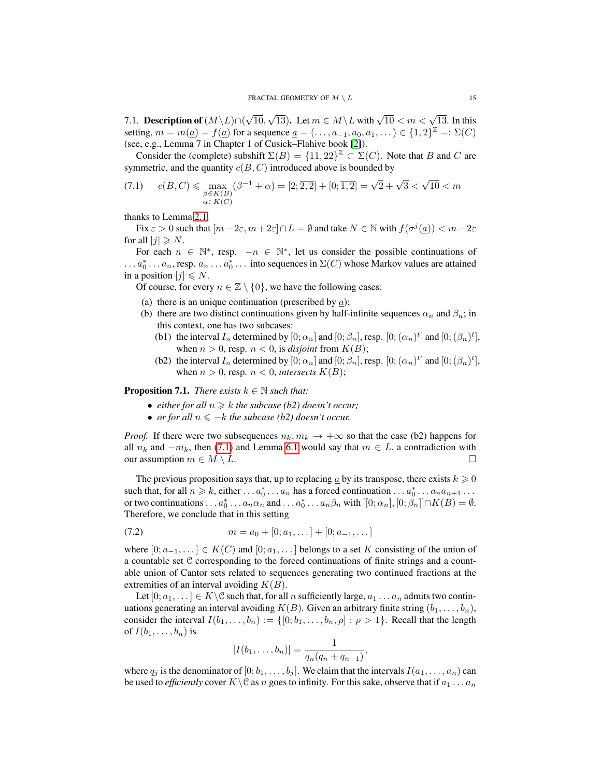<span id="page-14-1"></span>7.1. Description of  $(M\backslash L)\cap ($ √ 10,  $\sqrt{13}$ ). Let  $m \in M \backslash L$  with  $\sqrt{10} < m < \sqrt{13}$ . In this setting,  $m = m(\underline{a}) = f(\underline{a})$  for a sequence  $\underline{a} = (\ldots, a_{-1}, a_0, a_1, \ldots) \in \{1, 2\}^{\mathbb{Z}} =: \Sigma(C)$ (see, e.g., Lemma 7 in Chapter 1 of Cusick–Flahive book [\[2\]](#page-26-5)).

Consider the (complete) subshift  $\Sigma(B) = \{11, 22\}^{\mathbb{Z}} \subset \Sigma(C)$ . Note that B and C are symmetric, and the quantity  $c(B, C)$  introduced above is bounded by

<span id="page-14-0"></span>(7.1) 
$$
c(B, C) \leq \max_{\substack{\beta \in K(B) \\ \alpha \in K(C)}} (\beta^{-1} + \alpha) = [2, \overline{2, 2}] + [0, \overline{1, 2}] = \sqrt{2} + \sqrt{3} < \sqrt{10} < m
$$

thanks to Lemma [2.1.](#page-6-3)

Fix  $\varepsilon > 0$  such that  $[m - 2\varepsilon, m + 2\varepsilon] \cap L = \emptyset$  and take  $N \in \mathbb{N}$  with  $f(\sigma^j(\underline{a})) < m - 2\varepsilon$ for all  $|j| \ge N$ .

For each  $n \in \mathbb{N}^*$ , resp.  $-n \in \mathbb{N}^*$ , let us consider the possible continuations of  $\ldots a_0^* \ldots a_n$ , resp.  $a_n \ldots a_0^* \ldots$  into sequences in  $\Sigma(C)$  whose Markov values are attained in a position  $|j| \le N$ .

Of course, for every  $n \in \mathbb{Z} \setminus \{0\}$ , we have the following cases:

- (a) there is an unique continuation (prescribed by  $a$ );
- (b) there are two distinct continuations given by half-infinite sequences  $\alpha_n$  and  $\beta_n$ ; in this context, one has two subcases:
	- (b1) the interval  $I_n$  determined by  $[0; \alpha_n]$  and  $[0; \beta_n]$ , resp.  $[0; (\alpha_n)^t]$  and  $[0; (\beta_n)^t]$ , when  $n > 0$ , resp.  $n < 0$ , is *disjoint* from  $K(B)$ ;
	- (b2) the interval  $I_n$  determined by  $[0; \alpha_n]$  and  $[0; \beta_n]$ , resp.  $[0; (\alpha_n)^t]$  and  $[0; (\beta_n)^t]$ , when  $n > 0$ , resp.  $n < 0$ , *intersects*  $K(B)$ ;

**Proposition 7.1.** *There exists*  $k \in \mathbb{N}$  *such that:* 

- *either for all*  $n \geq k$  *the subcase (b2) doesn't occur;*
- *or for all*  $n \leq -k$  *the subcase (b2) doesn't occur.*

*Proof.* If there were two subsequences  $n_k, m_k \to +\infty$  so that the case (b2) happens for all  $n_k$  and  $-m_k$ , then [\(7.1\)](#page-14-0) and Lemma [6.1](#page-12-0) would say that  $m \in L$ , a contradiction with our assumption  $m \in M \setminus L$ .

The previous proposition says that, up to replacing  $\underline{a}$  by its transpose, there exists  $k \geqslant 0$ such that, for all  $n \ge k$ , either  $\dots a_0^* \dots a_n$  has a forced continuation  $\dots a_0^* \dots a_n a_{n+1} \dots$ or two continuations . . .  $a_0^* \ldots a_n \alpha_n$  and . . .  $a_0^* \ldots a_n \beta_n$  with  $[[0; \alpha_n], [0; \beta_n]] \cap K(B) = \emptyset$ . Therefore, we conclude that in this setting

$$
(7.2) \t m = a_0 + [0; a_1, \dots] + [0; a_{-1}, \dots]
$$

where  $[0; a_{-1}, \dots] \in K(C)$  and  $[0; a_1, \dots]$  belongs to a set K consisting of the union of a countable set C corresponding to the forced continuations of finite strings and a countable union of Cantor sets related to sequences generating two continued fractions at the extremities of an interval avoiding  $K(B)$ .

Let  $[0; a_1, \dots] \in K \backslash \mathcal{C}$  such that, for all n sufficiently large,  $a_1 \dots a_n$  admits two continuations generating an interval avoiding  $K(B)$ . Given an arbitrary finite string  $(b_1, \ldots, b_n)$ , consider the interval  $I(b_1, \ldots, b_n) := \{ [0; b_1, \ldots, b_n, \rho] : \rho > 1 \}$ . Recall that the length of  $I(b_1, \ldots, b_n)$  is

$$
|I(b_1,\ldots,b_n)| = \frac{1}{q_n(q_n+q_{n-1})},
$$

where  $q_i$  is the denominator of  $[0; b_1, \ldots, b_i]$ . We claim that the intervals  $I(a_1, \ldots, a_n)$  can be used to *efficiently* cover  $K \setminus \mathcal{C}$  as n goes to infinity. For this sake, observe that if  $a_1 \ldots a_n$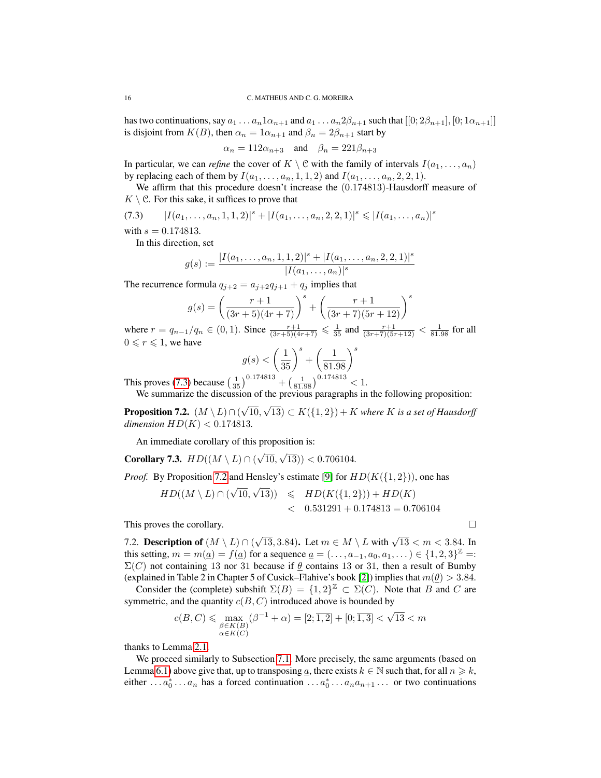has two continuations, say  $a_1 \ldots a_n 1 \alpha_{n+1}$  and  $a_1 \ldots a_n 2 \beta_{n+1}$  such that  $[[0; 2\beta_{n+1}], [0; 1\alpha_{n+1}]]$ is disjoint from  $K(B)$ , then  $\alpha_n = 1\alpha_{n+1}$  and  $\beta_n = 2\beta_{n+1}$  start by

$$
\alpha_n = 112\alpha_{n+3}
$$
 and  $\beta_n = 221\beta_{n+3}$ 

In particular, we can *refine* the cover of  $K \setminus \mathcal{C}$  with the family of intervals  $I(a_1, \ldots, a_n)$ by replacing each of them by  $I(a_1, \ldots, a_n, 1, 1, 2)$  and  $I(a_1, \ldots, a_n, 2, 2, 1)$ .

We affirm that this procedure doesn't increase the (0.174813)-Hausdorff measure of  $K \setminus \mathcal{C}$ . For this sake, it suffices to prove that

<span id="page-15-0"></span>
$$
(7.3) \qquad |I(a_1,\ldots,a_n,1,1,2)|^s + |I(a_1,\ldots,a_n,2,2,1)|^s \leq |I(a_1,\ldots,a_n)|^s
$$

with  $s = 0.174813$ .

In this direction, set

$$
g(s) := \frac{|I(a_1, \ldots, a_n, 1, 1, 2)|^s + |I(a_1, \ldots, a_n, 2, 2, 1)|^s}{|I(a_1, \ldots, a_n)|^s}
$$

The recurrence formula  $q_{i+2} = a_{i+2}q_{i+1} + q_i$  implies that

$$
g(s) = \left(\frac{r+1}{(3r+5)(4r+7)}\right)^s + \left(\frac{r+1}{(3r+7)(5r+12)}\right)^s
$$

where  $r = q_{n-1}/q_n \in (0, 1)$ . Since  $\frac{r+1}{(3r+5)(4r+7)} \leq \frac{1}{35}$  and  $\frac{r+1}{(3r+7)(5r+12)} < \frac{1}{81.98}$  for all  $0 \le r \le 1$ , we have

$$
g(s) < \left(\frac{1}{35}\right)^s + \left(\frac{1}{81.98}\right)^s
$$
  
0.174813

This proves [\(7.3\)](#page-15-0) because  $\left(\frac{1}{35}\right)^{0.174813} + \left(\frac{1}{81.98}\right)^{0.174813} < 1$ .

We summarize the discussion of the previous paragraphs in the following proposition:

<span id="page-15-1"></span>**Proposition 7.2.**  $(M \setminus L) \cap ($ √ 10, √  $(13) \subset K({1,2}) + K$  where K is a set of Hausdorff *dimension*  $HD(K) < 0.174813$ .

An immediate corollary of this proposition is:

<span id="page-15-2"></span>Corollary 7.3.  $HD((M \setminus L) \cap ($ √ 10, √ 13)) < 0.706104*.*

*Proof.* By Proposition [7.2](#page-15-1) and Hensley's estimate [\[9\]](#page-27-7) for  $HD(K({1, 2})),$  one has

$$
HD((M \setminus L) \cap (\sqrt{10}, \sqrt{13})) \leq HD(K(\{1, 2\})) + HD(K)
$$
  
< 0.531291 + 0.174813 = 0.706104

This proves the corollary.

<span id="page-15-3"></span>7.2. Description of  $(M \setminus L) \cap ($  $\sqrt{13}$ , 3.84). Let  $m \in M \setminus L$  with  $\sqrt{13} < m < 3.84$ . In this setting,  $m = m(\underline{a}) = f(\underline{a})$  for a sequence  $\underline{a} = (\ldots, a_{-1}, a_0, a_1, \ldots) \in \{1, 2, 3\}^{\mathbb{Z}} =:$  $\Sigma(C)$  not containing 13 nor 31 because if  $\theta$  contains 13 or 31, then a result of Bumby (explained in Table 2 in Chapter 5 of Cusick–Flahive's book [\[2\]](#page-26-5)) implies that  $m(\theta) > 3.84$ .

Consider the (complete) subshift  $\Sigma(B) = \{1,2\}^{\mathbb{Z}} \subset \Sigma(C)$ . Note that B and C are symmetric, and the quantity  $c(B, C)$  introduced above is bounded by

$$
c(B,C) \leqslant \max_{\substack{\beta \in K(B) \\ \alpha \in K(C)}} (\beta^{-1} + \alpha) = [2;\overline{1,2}] + [0;\overline{1,3}] < \sqrt{13} < m
$$

thanks to Lemma [2.1.](#page-6-3)

We proceed similarly to Subsection [7.1.](#page-14-1) More precisely, the same arguments (based on Lemma [6.1\)](#page-12-0) above give that, up to transposing a, there exists  $k \in \mathbb{N}$  such that, for all  $n \geq k$ , either ...  $a_0^*$  ...  $a_n$  has a forced continuation ...  $a_0^*$  ...  $a_na_{n+1}$  ... or two continuations

$$
1 \\
$$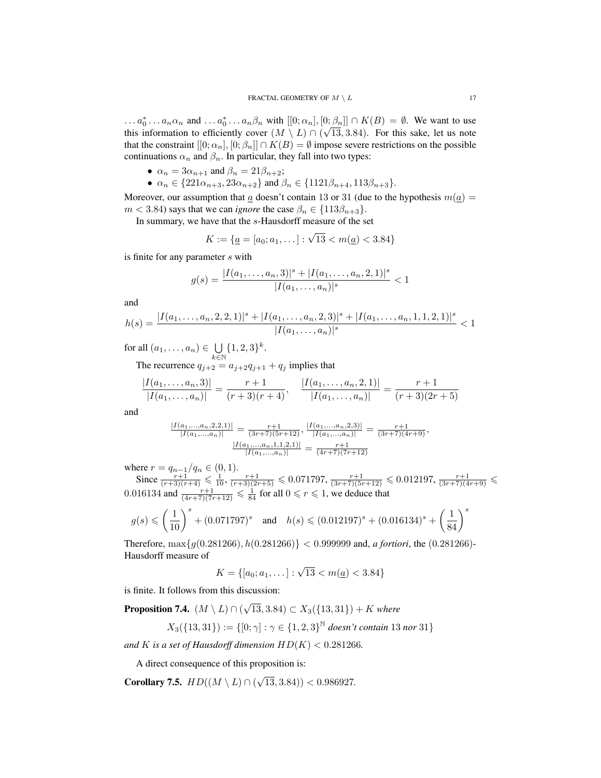$\ldots a_0^* \ldots a_n \alpha_n$  and  $\ldots a_0^* \ldots a_n \beta_n$  with  $[[0; \alpha_n], [0; \beta_n]] \cap K(B) = \emptyset$ . We want to use this information to efficiently cover  $(M \setminus L) \cap (\sqrt{13}, 3.84)$ . For this sake, let us note that the constraint  $[[0; \alpha_n], [0; \beta_n]] \cap K(B) = \emptyset$  impose severe restrictions on the possible continuations  $\alpha_n$  and  $\beta_n$ . In particular, they fall into two types:

- $\alpha_n = 3\alpha_{n+1}$  and  $\beta_n = 21\beta_{n+2}$ ;
- $\alpha_n \in \{221\alpha_{n+3}, 23\alpha_{n+2}\}\$  and  $\beta_n \in \{1121\beta_{n+4}, 113\beta_{n+3}\}.$

Moreover, our assumption that a doesn't contain 13 or 31 (due to the hypothesis  $m(a) =$  $m < 3.84$ ) says that we can *ignore* the case  $\beta_n \in \{113\beta_{n+3}\}.$ 

In summary, we have that the s-Hausdorff measure of the set

$$
K := \{ \underline{a} = [a_0; a_1, \dots] : \sqrt{13} < m(\underline{a}) < 3.84 \}
$$

is finite for any parameter s with

$$
g(s) = \frac{|I(a_1, \dots, a_n, 3)|^s + |I(a_1, \dots, a_n, 2, 1)|^s}{|I(a_1, \dots, a_n)|^s} < 1
$$

and

$$
h(s) = \frac{|I(a_1, \ldots, a_n, 2, 2, 1)|^s + |I(a_1, \ldots, a_n, 2, 3)|^s + |I(a_1, \ldots, a_n, 1, 1, 2, 1)|^s}{|I(a_1, \ldots, a_n)|^s} < 1
$$

for all  $(a_1, \ldots, a_n) \in \bigcup$  $k\bar{\in}\mathbb{N}$  $\{1, 2, 3\}^k$ .

The recurrence  $q_{j+2} = a_{j+2}q_{j+1} + q_j$  implies that

$$
\frac{|I(a_1,\ldots,a_n,3)|}{|I(a_1,\ldots,a_n)|}=\frac{r+1}{(r+3)(r+4)}, \quad \frac{|I(a_1,\ldots,a_n,2,1)|}{|I(a_1,\ldots,a_n)|}=\frac{r+1}{(r+3)(2r+5)}
$$

and

$$
\frac{|I(a_1,...,a_n,2,2,1)|}{|I(a_1,...,a_n)|} = \frac{r+1}{(3r+7)(5r+12)}, \frac{|I(a_1,...,a_n,2,3)|}{|I(a_1,...,a_n)|} = \frac{r+1}{(3r+7)(4r+9)},
$$

$$
\frac{|I(a_1,...,a_n,1,1,2,1)|}{|I(a_1,...,a_n)|} = \frac{r+1}{(4r+7)(7r+12)}
$$

where  $r = q_{n-1}/q_n \in (0,1)$ .

Since  $\frac{r+1}{(r+3)(r+4)} \leq \frac{1}{10}$ ,  $\frac{r+1}{(r+3)(2r+5)} \leq 0.071797$ ,  $\frac{r+1}{(3r+7)(5r+12)} \leq 0.012197$ ,  $\frac{r+1}{(3r+7)(4r+9)} \leq$ 0.016134 and  $\frac{r+1}{(4r+7)(7r+12)} \leq \frac{1}{84}$  for all  $0 \leq r \leq 1$ , we deduce that

$$
g(s) \leqslant \left(\frac{1}{10}\right)^s + (0.071797)^s \quad \text{and} \quad h(s) \leqslant (0.012197)^s + (0.016134)^s + \left(\frac{1}{84}\right)^s
$$

Therefore, max{g(0.281266), h(0.281266)} < 0.999999 and, *a fortiori*, the (0.281266)- Hausdorff measure of

$$
K = \{ [a_0; a_1, \dots] : \sqrt{13} < m(\underline{a}) < 3.84 \}
$$

is finite. It follows from this discussion:

<span id="page-16-0"></span>**Proposition 7.4.**  $(M \setminus L) \cap ($ √ 13, 3.84) ⊂ X3({13, 31}) + K *where*

$$
X_3({13, 31}) := \{ [0; \gamma] : \gamma \in {1, 2, 3}^{\mathbb{N}} \text{ doesn't contain } 13 \text{ nor } 31 \}
$$

*and K is a set of Hausdorff dimension*  $HD(K) < 0.281266$ *.* 

A direct consequence of this proposition is:

<span id="page-16-1"></span>Corollary 7.5.  $HD((M \setminus L) \cap ($ √ 13, 3.84)) < 0.986927*.*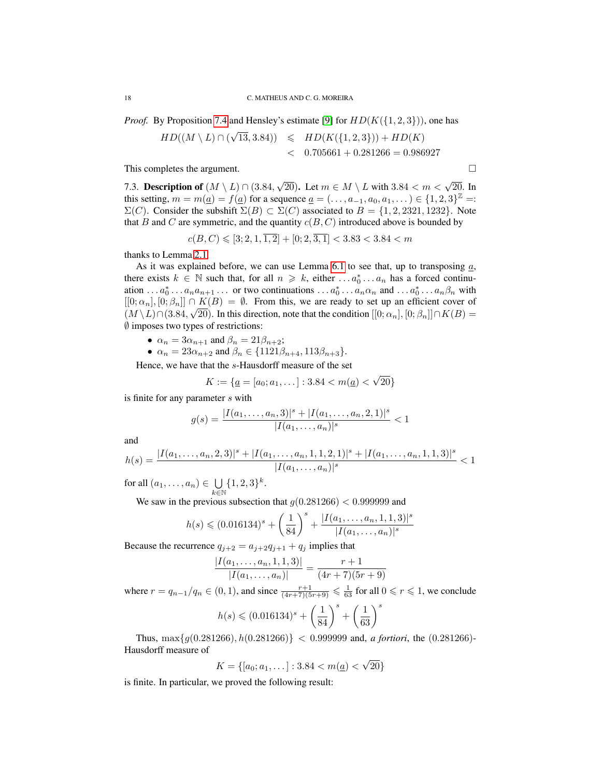*Proof.* By Proposition [7.4](#page-16-0) and Hensley's estimate [\[9\]](#page-27-7) for  $HD(K({1, 2, 3})),$  one has

$$
HD((M \setminus L) \cap (\sqrt{13}, 3.84)) \leq HD(K(\{1, 2, 3\})) + HD(K)
$$
  
< 0.705661 + 0.281266 = 0.986927

This completes the argument.

<span id="page-17-0"></span>7.3. Description of  $(M \setminus L) \cap (3.84,$  $\sqrt{20}$ ). Let  $m \in M \setminus L$  with  $3.84 < m < \sqrt{20}$ . In this setting,  $m = m(\underline{a}) = f(\underline{a})$  for a sequence  $\underline{a} = (\ldots, a_{-1}, a_0, a_1, \ldots) \in \{1, 2, 3\}^{\mathbb{Z}} =:$  $\Sigma(C)$ . Consider the subshift  $\Sigma(B) \subset \Sigma(C)$  associated to  $B = \{1, 2, 2321, 1232\}$ . Note that B and C are symmetric, and the quantity  $c(B, C)$  introduced above is bounded by

$$
c(B, C) \leqslant [3; 2, 1, \overline{1, 2}] + [0; 2, \overline{3, 1}] < 3.83 < 3.84 < m
$$

thanks to Lemma [2.1.](#page-6-3)

As it was explained before, we can use Lemma [6.1](#page-12-0) to see that, up to transposing  $a$ , there exists  $k \in \mathbb{N}$  such that, for all  $n \geq k$ , either ...  $a_0^* \dots a_n$  has a forced continuation ...  $a_0^* \dots a_n a_{n+1} \dots$  or two continuations  $\dots a_0^* \dots a_n \alpha_n$  and  $\dots a_0^* \dots a_n \beta_n$  with  $[[0; \alpha_n], [0; \beta_n]] \cap K(B) = \emptyset$ . From this, we are ready to set up an efficient cover of  $(M \setminus L) \cap (3.84, \sqrt{20})$ . In this direction, note that the condition  $[[0; \alpha_n], [0; \beta_n]] \cap K(B) =$ ∅ imposes two types of restrictions:

- $\alpha_n = 3\alpha_{n+1}$  and  $\beta_n = 21\beta_{n+2}$ ;
- $\alpha_n = 23\alpha_{n+2}$  and  $\beta_n \in \{1121\beta_{n+4}, 113\beta_{n+3}\}.$

Hence, we have that the s-Hausdorff measure of the set

$$
K := \{ \underline{a} = [a_0; a_1, \dots] : 3.84 < m(\underline{a}) < \sqrt{20} \}
$$

is finite for any parameter s with

$$
g(s) = \frac{|I(a_1, \dots, a_n, 3)|^s + |I(a_1, \dots, a_n, 2, 1)|^s}{|I(a_1, \dots, a_n)|^s} < 1
$$

and

$$
h(s) = \frac{|I(a_1, \ldots, a_n, 2, 3)|^s + |I(a_1, \ldots, a_n, 1, 1, 2, 1)|^s + |I(a_1, \ldots, a_n, 1, 1, 3)|^s}{|I(a_1, \ldots, a_n)|^s} < 1
$$

for all  $(a_1, \ldots, a_n) \in \bigcup$  $k\bar{\in}\mathbb{N}$  $\{1, 2, 3\}^k$ .

We saw in the previous subsection that  $g(0.281266) < 0.999999$  and

$$
h(s) \leqslant (0.016134)^s + \left(\frac{1}{84}\right)^s + \frac{|I(a_1, \ldots, a_n, 1, 1, 3)|^s}{|I(a_1, \ldots, a_n)|^s}
$$

Because the recurrence  $q_{j+2} = a_{j+2}q_{j+1} + q_j$  implies that

$$
\frac{|I(a_1,\ldots,a_n,1,1,3)|}{|I(a_1,\ldots,a_n)|} = \frac{r+1}{(4r+7)(5r+9)}
$$

where  $r = q_{n-1}/q_n \in (0, 1)$ , and since  $\frac{r+1}{(4r+7)(5r+9)} \leq \frac{1}{63}$  for all  $0 \leq r \leq 1$ , we conclude

$$
h(s) \leq (0.016134)^s + \left(\frac{1}{84}\right)^s + \left(\frac{1}{63}\right)^s
$$

Thus,  $\max\{g(0.281266), h(0.281266)\} < 0.999999$  and, *a fortiori*, the (0.281266)-Hausdorff measure of √

$$
K = \{ [a_0; a_1, \dots] : 3.84 < m(\underline{a}) < \sqrt{20} \}
$$

is finite. In particular, we proved the following result: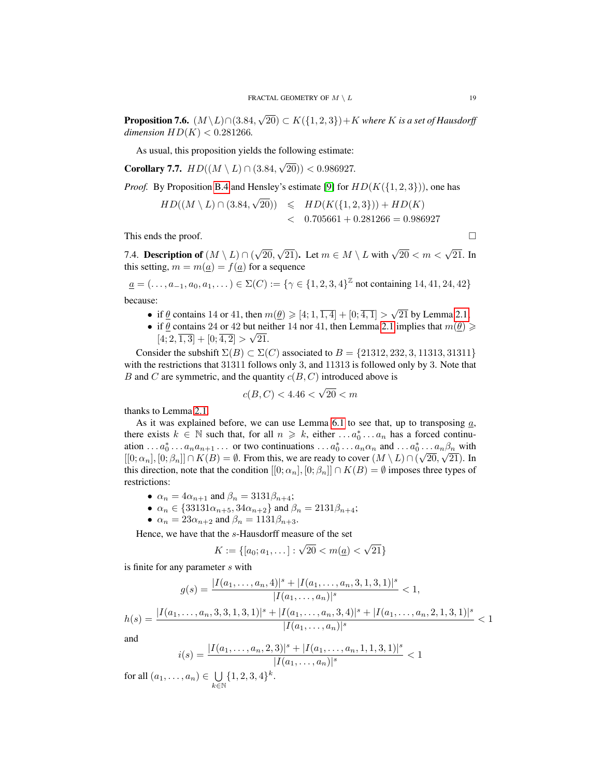**Proposition 7.6.**  $(M \setminus L) \cap (3.84,$ √  $(20)$  ⊂  $K({1, 2, 3})$  + K where K is a set of Hausdorff *dimension*  $HD(K) < 0.281266$ .

As usual, this proposition yields the following estimate:

<span id="page-18-0"></span>Corollary 7.7.  $HD((M \setminus L) \cap (3.84,$ √ 20)) < 0.986927*.*

*Proof.* By Proposition [B.4](#page-26-7) and Hensley's estimate [\[9\]](#page-27-7) for  $HD(K({1, 2, 3})),$  one has √

$$
HD((M \setminus L) \cap (3.84, \sqrt{20})) \leq HD(K(\{1, 2, 3\})) + HD(K)
$$
  
< 0.705661 + 0.281266 = 0.986927

This ends the proof.  $\Box$ 

7.4. Description of  $(M \setminus L) \cap ($ √ 20,  $\sqrt{21}$ ). Let  $m \in M \setminus L$  with  $\sqrt{20} < m < \sqrt{21}$ . In this setting,  $m = m(a) = f(a)$  for a sequence

$$
\underline{a} = (\dots, a_{-1}, a_0, a_1, \dots) \in \Sigma(C) := \{ \gamma \in \{1, 2, 3, 4\}^{\mathbb{Z}} \text{ not containing } 14, 41, 24, 42 \}
$$
  
because

because:

- if  $\underline{\theta}$  contains 14 or 41, then  $m(\underline{\theta}) \geqslant [4; 1, \overline{1, 4}] + [0; \overline{4, 1}] > \sqrt{2}$ 21 by Lemma [2.1;](#page-6-3)
- if  $\theta$  contains 24 or 42 but neither 14 nor 41, then Lemma [2.1](#page-6-3) implies that  $m(\theta) \geq$  $[4; 2, \overline{1,3}] + [0; \overline{4,2}] > \sqrt{21}.$

Consider the subshift  $\Sigma(B) \subset \Sigma(C)$  associated to  $B = \{21312, 232, 3, 11313, 31311\}$ with the restrictions that 31311 follows only 3, and 11313 is followed only by 3. Note that B and C are symmetric, and the quantity  $c(B, C)$  introduced above is

$$
c(B, C) < 4.46 < \sqrt{20} < m
$$

thanks to Lemma [2.1.](#page-6-3)

As it was explained before, we can use Lemma [6.1](#page-12-0) to see that, up to transposing  $a$ , there exists  $k \in \mathbb{N}$  such that, for all  $n \geq k$ , either ...  $a_0^* \dots a_n$  has a forced continuation . . .  $a_0^* \ldots a_n a_{n+1} \ldots$  or two continuations . . .  $a_0^* \ldots a_n \alpha_n$  and . . .  $a_0^* \ldots a_n \beta_n$  with  $[[0;\alpha_n],[0;\beta_n]] \cap K(B) = \emptyset$ . From this, we are ready to cover  $(M \setminus L) \cap (\sqrt{20},\sqrt{21})$ . In this direction, note that the condition  $[[0; \alpha_n], [0; \beta_n]] \cap K(B) = \emptyset$  imposes three types of restrictions:

- $\alpha_n = 4\alpha_{n+1}$  and  $\beta_n = 3131\beta_{n+4}$ ;
- $\alpha_n \in \{33131\alpha_{n+5}, 34\alpha_{n+2}\}\$  and  $\beta_n = 2131\beta_{n+4}$ ;
- $\alpha_n = 23\alpha_{n+2}$  and  $\beta_n = 1131\beta_{n+3}$ .

Hence, we have that the s-Hausdorff measure of the set

$$
K := \{ [a_0; a_1, \dots] : \sqrt{20} < m(\underline{a}) < \sqrt{21} \}
$$

is finite for any parameter s with

$$
g(s) = \frac{|I(a_1, \dots, a_n, 4)|^s + |I(a_1, \dots, a_n, 3, 1, 3, 1)|^s}{|I(a_1, \dots, a_n)|^s} < 1,
$$

$$
h(s) = \frac{|I(a_1, \ldots, a_n, 3, 3, 1, 3, 1)|^s + |I(a_1, \ldots, a_n, 3, 4)|^s + |I(a_1, \ldots, a_n, 2, 1, 3, 1)|^s}{|I(a_1, \ldots, a_n)|^s} < 1
$$

and

$$
i(s) = \frac{|I(a_1, \dots, a_n, 2, 3)|^s + |I(a_1, \dots, a_n, 1, 1, 3, 1)|^s}{|I(a_1, \dots, a_n)|^s} < 1
$$

for all  $(a_1, \ldots, a_n) \in \bigcup$  $k \in \mathbb{N}$  $\{1, 2, 3, 4\}^k$ .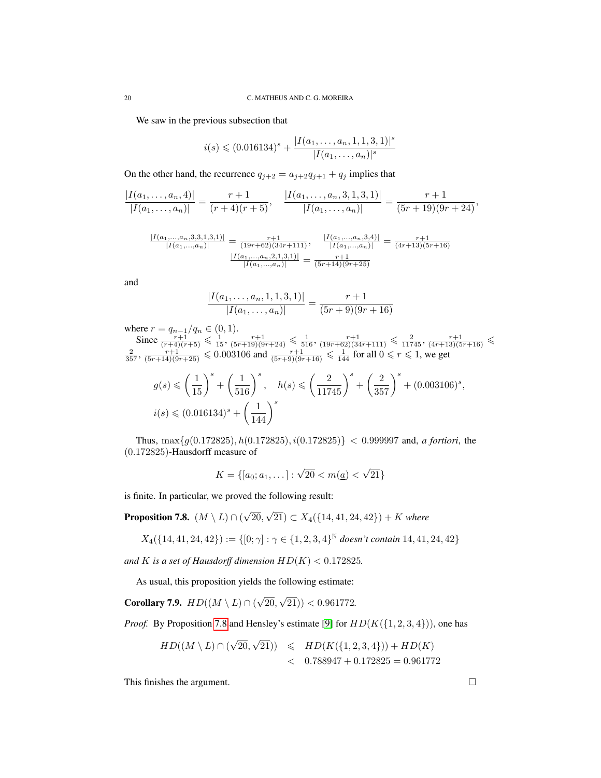We saw in the previous subsection that

$$
i(s) \leq (0.016134)^s + \frac{|I(a_1, \ldots, a_n, 1, 1, 3, 1)|^s}{|I(a_1, \ldots, a_n)|^s}
$$

On the other hand, the recurrence  $q_{j+2} = a_{j+2}q_{j+1} + q_j$  implies that

$$
\frac{|I(a_1,\ldots,a_n,4)|}{|I(a_1,\ldots,a_n)|}=\frac{r+1}{(r+4)(r+5)},\quad \frac{|I(a_1,\ldots,a_n,3,1,3,1)|}{|I(a_1,\ldots,a_n)|}=\frac{r+1}{(5r+19)(9r+24)},
$$

$$
\frac{|I(a_1,...,a_n,3,3,1,3,1)|}{|I(a_1,...,a_n)|} = \frac{r+1}{(19r+62)(34r+111)}, \quad \frac{|I(a_1,...,a_n,3,4)|}{|I(a_1,...,a_n)|} = \frac{r+1}{(4r+13)(5r+16)}
$$

$$
\frac{|I(a_1,...,a_n,2,1,3,1)|}{|I(a_1,...,a_n)|} = \frac{r+1}{(5r+14)(9r+25)}
$$

and

$$
\frac{|I(a_1, \ldots, a_n, 1, 1, 3, 1)|}{|I(a_1, \ldots, a_n)|} = \frac{r+1}{(5r+9)(9r+16)}
$$

where  $r = q_{n-1}/q_n \in (0, 1)$ . Since  $\frac{r+1}{(r+4)(r+5)} \leq \frac{1}{15}$ ,  $\frac{r+1}{(5r+19)(9r+24)} \leq \frac{1}{116}$ ,  $\frac{r+1}{(19r+62)(34r+111)} \leq \frac{2}{11745}$ ,  $\frac{r+1}{(4r+13)(5r+16)} \leq \frac{2}{357}$ ,  $\frac{r+1}{(5r+14)(9r+25)} \leq 0.003106$  and  $\frac{r+1}{(5r+9)(9r+16)} \leq \frac{1}{144}$ 

$$
g(s) \leqslant \left(\frac{1}{15}\right)^s + \left(\frac{1}{516}\right)^s, \quad h(s) \leqslant \left(\frac{2}{11745}\right)^s + \left(\frac{2}{357}\right)^s + (0.003106)^s,
$$
  

$$
i(s) \leqslant (0.016134)^s + \left(\frac{1}{144}\right)^s
$$

Thus,  $\max\{g(0.172825), h(0.172825), i(0.172825)\} < 0.999997$  and, *a fortiori*, the (0.172825)-Hausdorff measure of

$$
K = \{ [a_0; a_1, \dots] : \sqrt{20} < m(\underline{a}) < \sqrt{21} \}
$$

is finite. In particular, we proved the following result:

<span id="page-19-0"></span>**Proposition 7.8.**  $(M \setminus L) \cap ($ √ 20, √  $(21)$  ⊂  $X_4$ ({14, 41, 24, 42}) + K where

$$
X_4({14, 41, 24, 42}) := \{ [0; \gamma] : \gamma \in {1, 2, 3, 4}^{\mathbb{N}} \text{ doesn't contain } 14, 41, 24, 42 \}
$$

*and* K *is a set of Hausdorff dimension*  $HD(K) < 0.172825$ .

As usual, this proposition yields the following estimate:

<span id="page-19-1"></span>Corollary 7.9.  $HD((M \setminus L) \cap ($ √ 20, √ 21)) < 0.961772*.*

*Proof.* By Proposition [7.8](#page-19-0) and Hensley's estimate [\[9\]](#page-27-7) for  $HD(K({1, 2, 3, 4})),$  one has

$$
HD((M \setminus L) \cap (\sqrt{20}, \sqrt{21})) \leq HD(K(\{1, 2, 3, 4\})) + HD(K)
$$
  
< 0.788947 + 0.172825 = 0.961772

This finishes the argument.  $\Box$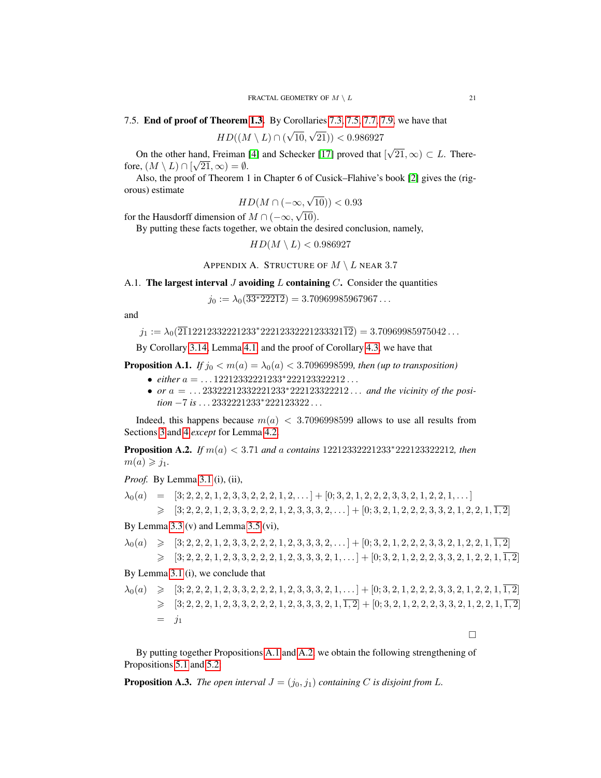7.5. End of proof of Theorem [1.3.](#page-1-2) By Corollaries [7.3,](#page-15-2) [7.5,](#page-16-1) [7.7,](#page-18-0) [7.9,](#page-19-1) we have that

$$
HD((M \setminus L) \cap (\sqrt{10}, \sqrt{21})) < 0.986927
$$

On the other hand, Freiman [\[4\]](#page-26-1) and Schecker [\[17\]](#page-27-2) proved that [ √ and, Freiman [4] and Schecker [17] proved that  $[\sqrt{21}, \infty) \subset L$ . Therefore,  $(M \setminus L) \cap [\sqrt{21}, \infty) = \emptyset$ .

Also, the proof of Theorem 1 in Chapter 6 of Cusick–Flahive's book [\[2\]](#page-26-5) gives the (rigorous) estimate √

$$
HD(M \cap (-\infty, \sqrt{10})) < 0.93
$$

for the Hausdorff dimension of  $M \cap (-\infty,$ 10).

By putting these facts together, we obtain the desired conclusion, namely,

 $HD(M \setminus L) < 0.986927$ 

# APPENDIX A. STRUCTURE OF  $M \setminus L$  near 3.7

<span id="page-20-0"></span>A.1. The largest interval J avoiding L containing  $C$ . Consider the quantities

 $j_0 := \lambda_0(\overline{33*22212}) = 3.70969985967967...$ 

and

$$
j_1 := \lambda_0(\overline{21}12212332221233^*22212332221233321\overline{12}) = 3.70969985975042...
$$

By Corollary [3.14,](#page-9-0) Lemma [4.1,](#page-0-0) and the proof of Corollary [4.3,](#page-11-0) we have that

<span id="page-20-1"></span>**Proposition A.1.** *If*  $j_0 < m(a) = \lambda_0(a) < 3.7096998599$ *, then (up to transposition)* 

- *either* a = . . . 12212332221233<sup>∗</sup>222123322212 . . .
- *or*  $a = ... 23322212332221233*222123322212...$  *and the vicinity of the position* −7 *is* . . . 2332221233<sup>∗</sup>222123322 . . .

Indeed, this happens because  $m(a) < 3.7096998599$  allows to use all results from Sections [3](#page-6-1) and [4](#page-10-1) *except* for Lemma [4.2.](#page-10-0)

<span id="page-20-2"></span>Proposition A.2. *If* m(a) < 3.71 *and* a *contains* 12212332221233<sup>∗</sup>222123322212*, then*  $m(a) \geqslant j_1$ .

*Proof.* By Lemma [3.1](#page-0-0) (i), (ii),

 $\lambda_0(a) = [3; 2, 2, 2, 1, 2, 3, 3, 2, 2, 2, 1, 2, \ldots] + [0; 3, 2, 1, 2, 2, 2, 3, 3, 2, 1, 2, 2, 1, \ldots]$  $\geqslant$  [3; 2, 2, 2, 1, 2, 3, 3, 2, 2, 1, 2, 3, 3, 3, 2, ...] + [0; 3, 2, 1, 2, 2, 2, 3, 3, 2, 1, 2, 2, 1,  $\overline{1,2}$ ]

By Lemma [3.3](#page-0-0) (v) and Lemma [3.5](#page-0-0) (vi),

$$
\lambda_0(a) \geq [3; 2, 2, 2, 1, 2, 3, 3, 2, 2, 2, 1, 2, 3, 3, 3, 2, \ldots] + [0; 3, 2, 1, 2, 2, 2, 3, 3, 2, 1, 2, 2, 1, \overline{1, 2}]
$$
  
\n
$$
\geq [3; 2, 2, 2, 1, 2, 3, 3, 2, 2, 2, 1, 2, 3, 3, 3, 2, 1, \ldots] + [0; 3, 2, 1, 2, 2, 2, 3, 3, 2, 1, 2, 2, 1, \overline{1, 2}]
$$

By Lemma [3.1](#page-0-0) (i), we conclude that

$$
\lambda_0(a) \geqslant [3; 2, 2, 2, 1, 2, 3, 3, 2, 2, 2, 1, 2, 3, 3, 3, 2, 1, \ldots] + [0; 3, 2, 1, 2, 2, 2, 3, 3, 2, 1, 2, 2, 1, \overline{1, 2}]
$$
  
\n
$$
\geqslant [3; 2, 2, 2, 1, 2, 3, 3, 2, 2, 2, 1, 2, 3, 3, 3, 2, 1, \overline{1, 2}] + [0; 3, 2, 1, 2, 2, 2, 3, 3, 2, 1, 2, 2, 1, \overline{1, 2}]
$$
  
\n
$$
= j_1
$$

 $\Box$ 

By putting together Propositions [A.1](#page-20-1) and [A.2,](#page-20-2) we obtain the following strengthening of Propositions [5.1](#page-12-6) and [5.2:](#page-12-4)

**Proposition A.3.** *The open interval*  $J = (j_0, j_1)$  *containing* C *is disjoint from* L.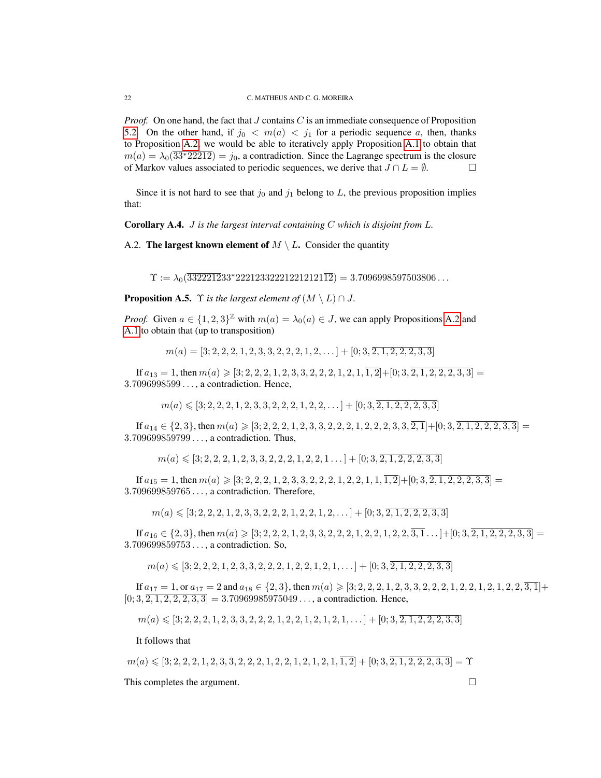*Proof.* On one hand, the fact that J contains C is an immediate consequence of Proposition [5.2.](#page-12-4) On the other hand, if  $j_0 < m(a) < j_1$  for a periodic sequence a, then, thanks to Proposition [A.2,](#page-20-2) we would be able to iteratively apply Proposition [A.1](#page-20-1) to obtain that  $m(a) = \lambda_0(\overline{33*22212}) = j_0$ , a contradiction. Since the Lagrange spectrum is the closure of Markov values associated to periodic sequences, we derive that  $J \cap L = \emptyset$ .

Since it is not hard to see that  $j_0$  and  $j_1$  belong to L, the previous proposition implies that:

Corollary A.4. J *is the largest interval containing* C *which is disjoint from* L*.*

A.2. The largest known element of  $M \setminus L$ . Consider the quantity

 $\Upsilon := \lambda_0(\overline{3322212}33^*2221233222122121\overline{12}) = 3.7096998597503806\ldots$ 

**Proposition A.5.**  $\Upsilon$  *is the largest element of*  $(M \setminus L) \cap J$ .

*Proof.* Given  $a \in \{1, 2, 3\}^{\mathbb{Z}}$  with  $m(a) = \lambda_0(a) \in J$ , we can apply Propositions [A.2](#page-20-2) and [A.1](#page-20-1) to obtain that (up to transposition)

 $m(a) = [3; 2, 2, 2, 1, 2, 3, 3, 2, 2, 2, 1, 2, \ldots] + [0; 3, 2, 1, 2, 2, 2, 3, 3]$ 

If  $a_{13} = 1$ , then  $m(a) \geqslant [3; 2, 2, 2, 1, 2, 3, 3, 2, 2, 2, 1, 2, 1, \overline{1,2}] + [0; 3, 2, 1, 2, 2, 2, 3, 3] =$ 3.7096998599 . . . , a contradiction. Hence,

$$
m(a) \leqslant [3; 2, 2, 2, 1, 2, 3, 3, 2, 2, 2, 1, 2, 2, \dots] + [0; 3, \overline{2, 1, 2, 2, 2, 3, 3}]
$$

If  $a_{14} \in \{2,3\}$ , then  $m(a) \geqslant [3; 2, 2, 2, 1, 2, 3, 3, 2, 2, 2, 1, 2, 2, 2, 3, 3, \overline{2,1}] + [0; 3, 2, 1, 2, 2, 2, 3, 3] =$ 3.709699859799 . . . , a contradiction. Thus,

$$
m(a) \leqslant [3; 2, 2, 2, 1, 2, 3, 3, 2, 2, 2, 1, 2, 2, 1, \ldots] + [0; 3, \overline{2, 1, 2, 2, 2, 3, 3}]
$$

If  $a_{15} = 1$ , then  $m(a) \geqslant [3; 2, 2, 2, 1, 2, 3, 3, 2, 2, 2, 1, 2, 2, 1, 1, \overline{1,2}] + [0; 3, 2, 1, 2, 2, 2, 3, 3] =$ 3.709699859765 . . . , a contradiction. Therefore,

 $m(a) \leqslant [3; 2, 2, 2, 1, 2, 3, 3, 2, 2, 2, 1, 2, 2, 1, 2, \ldots] + [0; 3, 2, 1, 2, 2, 2, 3, 3]$ 

If  $a_{16} \in \{2,3\}$ , then  $m(a) \geqslant [3; 2, 2, 2, 1, 2, 3, 3, 2, 2, 2, 1, 2, 2, 1, 2, 2, 3, \overline{3}, \overline{1} \dots] + [0; 3, \overline{2, 1, 2, 2, 2, 3, 3}] =$ 3.709699859753 . . . , a contradiction. So,

 $m(a) \leqslant [3; 2, 2, 2, 1, 2, 3, 3, 2, 2, 2, 1, 2, 2, 1, 2, 1, \ldots] + [0; 3, 2, 1, 2, 2, 2, 3, 3]$ 

If  $a_{17} = 1$ , or  $a_{17} = 2$  and  $a_{18} \in \{2,3\}$ , then  $m(a) \geqslant [3; 2, 2, 2, 1, 2, 3, 3, 2, 2, 2, 1, 2, 2, 1, 2, 2, 1, 2, 2, 3, 1]$ +  $[0; 3, \overline{2, 1, 2, 2, 2, 3, 3}] = 3.70969985975049...$ , a contradiction. Hence,

 $m(a) \leqslant [3; 2, 2, 2, 1, 2, 3, 3, 2, 2, 2, 1, 2, 2, 1, 2, 1, 2, 1, \ldots] + [0; 3, 2, 1, 2, 2, 2, 3, 3]$ 

It follows that

 $m(a) \leqslant [3; 2, 2, 2, 1, 2, 3, 3, 2, 2, 2, 1, 2, 2, 1, 2, 1, 2, 1, \overline{1, 2}] + [0; 3, 2, 1, 2, 2, 2, 3, 3] = \Upsilon$ 

This completes the argument.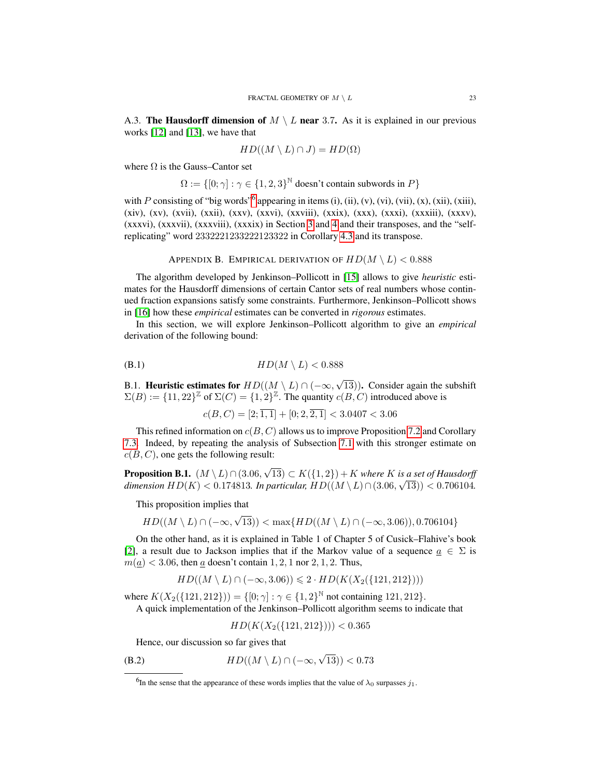A.3. The Hausdorff dimension of  $M \setminus L$  near 3.7. As it is explained in our previous works [\[12\]](#page-27-4) and [\[13\]](#page-27-5), we have that

$$
HD((M \setminus L) \cap J) = HD(\Omega)
$$

where  $\Omega$  is the Gauss–Cantor set

 $\Omega := \{ [0; \gamma] : \gamma \in \{1, 2, 3\}^{\mathbb{N}} \text{ doesn't contain subwords in } P \}$ 

with P consisting of "big words"<sup>[6](#page-22-1)</sup> appearing in items (i), (ii), (v), (vi), (vii), (x), (xii), (xiii), (xiv), (xv), (xvii), (xxii), (xxv), (xxvi), (xxviii), (xxix), (xxx), (xxxi), (xxxiii), (xxxv), (xxxvi), (xxxvii), (xxxviii), (xxxix) in Section [3](#page-6-1) and [4](#page-10-1) and their transposes, and the "selfreplicating" word 2332221233222123322 in Corollary [4.3](#page-11-0) and its transpose.

APPENDIX B. EMPIRICAL DERIVATION OF  $HD(M \setminus L) < 0.888$ 

<span id="page-22-0"></span>The algorithm developed by Jenkinson–Pollicott in [\[15\]](#page-27-8) allows to give *heuristic* estimates for the Hausdorff dimensions of certain Cantor sets of real numbers whose continued fraction expansions satisfy some constraints. Furthermore, Jenkinson–Pollicott shows in [\[16\]](#page-27-9) how these *empirical* estimates can be converted in *rigorous* estimates.

In this section, we will explore Jenkinson–Pollicott algorithm to give an *empirical* derivation of the following bound:

$$
(B.1)\qquad \qquad HD(M \setminus L) < 0.888
$$

B.1. Heuristic estimates for  $HD((M \setminus L) \cap (-\infty,$ √ 13)). Consider again the subshift  $\Sigma(B) := \{11, 22\}^{\mathbb{Z}}$  of  $\Sigma(C) = \{1, 2\}^{\mathbb{Z}}$ . The quantity  $c(B, C)$  introduced above is

<span id="page-22-3"></span> $c(B, C) = [2; \overline{1, 1}] + [0; 2, \overline{2, 1}] < 3.0407 < 3.06$ 

This refined information on  $c(B, C)$  allows us to improve Proposition [7.2](#page-15-1) and Corollary [7.3.](#page-15-2) Indeed, by repeating the analysis of Subsection [7.1](#page-14-1) with this stronger estimate on  $c(B, C)$ , one gets the following result:

**Proposition B.1.**  $(M \setminus L) \cap (3.06,$ √ 13)  $\subset K$ ({1, 2}) + K *where* K *is a set of Hausdorff dimension*  $HD(K) < 0.174813$ *. In particular,*  $HD((M \setminus L) \cap (3.06, \sqrt{13})) < 0.706104$ *.* 

This proposition implies that

$$
HD((M \setminus L) \cap (-\infty, \sqrt{13})) < \max\{HD((M \setminus L) \cap (-\infty, 3.06)), 0.706104\}
$$

On the other hand, as it is explained in Table 1 of Chapter 5 of Cusick–Flahive's book [\[2\]](#page-26-5), a result due to Jackson implies that if the Markov value of a sequence  $\alpha \in \Sigma$  is  $m(\underline{a})$  < 3.06, then  $\underline{a}$  doesn't contain 1, 2, 1 nor 2, 1, 2. Thus,

$$
HD((M \setminus L) \cap (-\infty, 3.06)) \leq 2 \cdot HD(K(X_2(\{121, 212\})))
$$

where  $K(X_2({121, 212})) = {0; \gamma : \gamma \in {1, 2}^{\mathbb{N}}}$  not containing 121, 212}. A quick implementation of the Jenkinson–Pollicott algorithm seems to indicate that

<span id="page-22-2"></span>
$$
HD(K(X_2(\{121,212\})))<0.365
$$

Hence, our discussion so far gives that

(B.2)  $HD((M \setminus L) \cap (-\infty,$ √  $(13)) < 0.73$ 

<span id="page-22-1"></span><sup>&</sup>lt;sup>6</sup>In the sense that the appearance of these words implies that the value of  $\lambda_0$  surpasses  $j_1$ .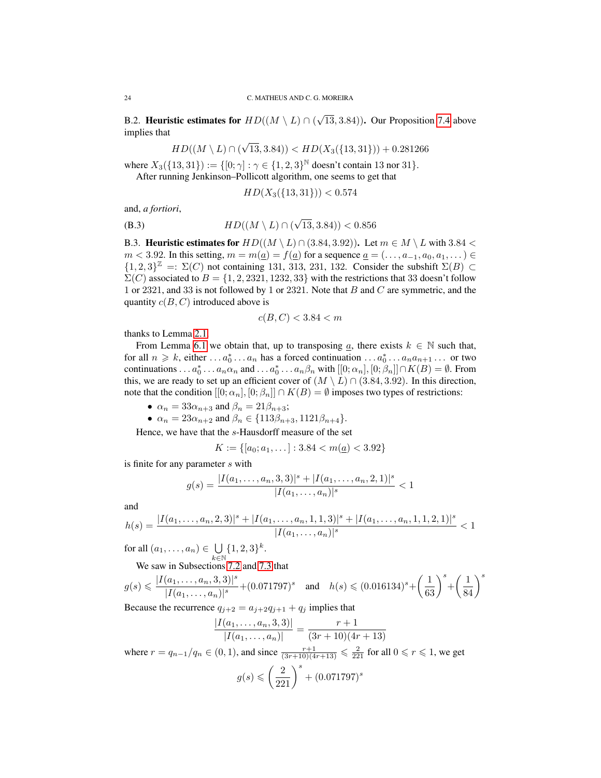B.2. Heuristic estimates for  $HD((M \setminus L) \cap ($ √ 13, 3.84)). Our Proposition [7.4](#page-16-0) above implies that

$$
HD((M \setminus L) \cap (\sqrt{13}, 3.84)) < HD(X_3(\{13, 31\})) + 0.281266
$$

where  $X_3({13, 31}) := {[0; \gamma] : \gamma \in {1, 2, 3}^{\mathbb{N}}}$  doesn't contain 13 nor 31.

After running Jenkinson–Pollicott algorithm, one seems to get that

<span id="page-23-0"></span>
$$
HD(X_3(\{13,31\})) < 0.574
$$

and, *a fortiori*,

(B.3) 
$$
HD((M \setminus L) \cap (\sqrt{13}, 3.84)) < 0.856
$$

B.3. Heuristic estimates for  $HD((M \setminus L) \cap (3.84, 3.92))$ . Let  $m \in M \setminus L$  with  $3.84 <$  $m < 3.92$ . In this setting,  $m = m(\underline{a}) = f(\underline{a})$  for a sequence  $\underline{a} = (\ldots, a_{-1}, a_0, a_1, \ldots) \in$  ${1, 2, 3}^{\mathbb{Z}} =: \Sigma(C)$  not containing 131, 313, 231, 132. Consider the subshift  $\Sigma(B)$  ⊂  $\Sigma(C)$  associated to  $B = \{1, 2, 2321, 1232, 33\}$  with the restrictions that 33 doesn't follow 1 or 2321, and 33 is not followed by 1 or 2321. Note that B and C are symmetric, and the quantity  $c(B, C)$  introduced above is

$$
c(B, C) < 3.84 < m
$$

thanks to Lemma [2.1.](#page-6-3)

From Lemma [6.1](#page-12-0) we obtain that, up to transposing  $\underline{a}$ , there exists  $k \in \mathbb{N}$  such that, for all  $n \geq k$ , either  $\dots a_0^* \dots a_n$  has a forced continuation  $\dots a_0^* \dots a_n a_{n+1} \dots$  or two continuations . . .  $a_0^* \ldots a_n \alpha_n$  and . . .  $a_0^* \ldots a_n \beta_n$  with  $[[0; \alpha_n], [0; \beta_n]] \cap K(B) = \emptyset$ . From this, we are ready to set up an efficient cover of  $(M \setminus L) \cap (3.84, 3.92)$ . In this direction, note that the condition  $[[0; \alpha_n], [0; \beta_n]] \cap K(B) = \emptyset$  imposes two types of restrictions:

- $\alpha_n = 33\alpha_{n+3}$  and  $\beta_n = 21\beta_{n+3}$ ;
- $\alpha_n = 23\alpha_{n+2}$  and  $\beta_n \in \{113\beta_{n+3}, 1121\beta_{n+4}\}.$

Hence, we have that the s-Hausdorff measure of the set

$$
K := \{ [a_0; a_1, \dots] : 3.84 < m(\underline{a}) < 3.92 \}
$$

is finite for any parameter s with

$$
g(s) = \frac{|I(a_1, \dots, a_n, 3, 3)|^s + |I(a_1, \dots, a_n, 2, 1)|^s}{|I(a_1, \dots, a_n)|^s} < 1
$$

and

$$
h(s) = \frac{|I(a_1, \ldots, a_n, 2, 3)|^s + |I(a_1, \ldots, a_n, 1, 1, 3)|^s + |I(a_1, \ldots, a_n, 1, 1, 2, 1)|^s}{|I(a_1, \ldots, a_n)|^s} < 1
$$

for all  $(a_1, \ldots, a_n) \in \bigcup$  $k\bar{\in}\mathbb{N}$  $\{1, 2, 3\}^k$ .

We saw in Subsections [7.2](#page-15-3) and [7.3](#page-17-0) that

$$
g(s) \leqslant \frac{|I(a_1, \ldots, a_n, 3, 3)|^s}{|I(a_1, \ldots, a_n)|^s} + (0.071797)^s \quad \text{and} \quad h(s) \leqslant (0.016134)^s + \left(\frac{1}{63}\right)^s + \left(\frac{1}{84}\right)^s
$$

Because the recurrence  $q_{j+2} = a_{j+2}q_{j+1} + q_j$  implies that

$$
\frac{|I(a_1, \dots, a_n, 3, 3)|}{|I(a_1, \dots, a_n)|} = \frac{r+1}{(3r+10)(4r+13)}
$$
  
where  $r = q_{n-1}/q_n \in (0, 1)$ , and since  $\frac{r+1}{(3r+10)(4r+13)} \le \frac{2}{221}$  for all  $0 \le r \le 1$ , we get  

$$
g(s) \le \left(\frac{2}{221}\right)^s + (0.071797)^s
$$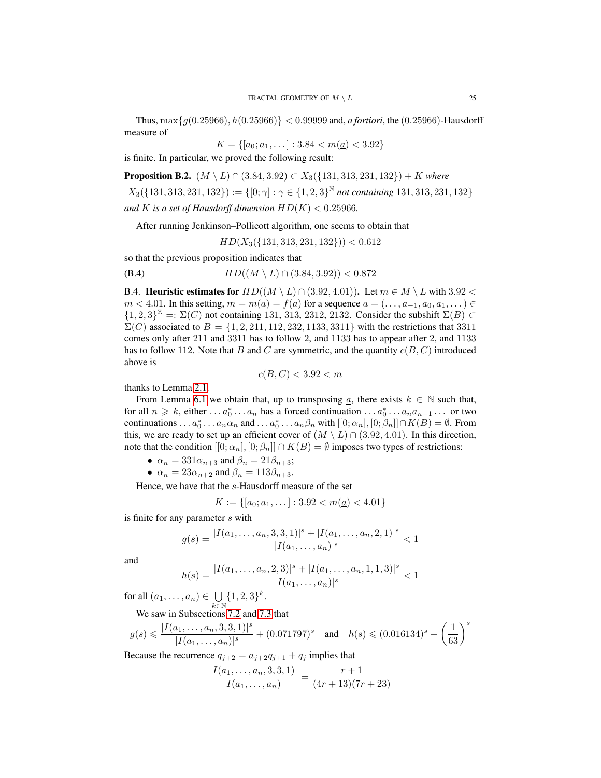Thus, max{g(0.25966), h(0.25966)} < 0.99999 and, *a fortiori*, the (0.25966)-Hausdorff measure of

$$
K = \{ [a_0; a_1, \dots] : 3.84 < m(\underline{a}) < 3.92 \}
$$

is finite. In particular, we proved the following result:

**Proposition B.2.**  $(M \setminus L) \cap (3.84, 3.92) \subset X_3({131, 313, 231, 132}) + K$  where

 $X_3({131, 313, 231, 132}) := \{ [0; \gamma] : \gamma \in {1, 2, 3}^{\mathbb{N}} \text{ not containing } 131, 313, 231, 132 \}$ 

and *K* is a set of Hausdorff dimension  $HD(K) < 0.25966$ .

After running Jenkinson–Pollicott algorithm, one seems to obtain that

<span id="page-24-1"></span> $HD(X_3({131, 313, 231, 132})) < 0.612$ 

so that the previous proposition indicates that

(B.4) 
$$
HD((M \setminus L) \cap (3.84, 3.92)) < 0.872
$$

<span id="page-24-0"></span>B.4. Heuristic estimates for  $HD((M \setminus L) \cap (3.92, 4.01))$ . Let  $m \in M \setminus L$  with  $3.92 <$  $m < 4.01$ . In this setting,  $m = m(a) = f(a)$  for a sequence  $a = (\ldots, a_{-1}, a_0, a_1, \ldots)$  ${1, 2, 3}^{\mathbb{Z}} =: \Sigma(C)$  not containing 131, 313, 2312, 2132. Consider the subshift  $\Sigma(B)$  ⊂  $\Sigma(C)$  associated to  $B = \{1, 2, 211, 112, 232, 1133, 3311\}$  with the restrictions that 3311 comes only after 211 and 3311 has to follow 2, and 1133 has to appear after 2, and 1133 has to follow 112. Note that B and C are symmetric, and the quantity  $c(B, C)$  introduced above is

$$
c(B,C) < 3.92 < m
$$

thanks to Lemma [2.1.](#page-6-3)

From Lemma [6.1](#page-12-0) we obtain that, up to transposing  $\underline{a}$ , there exists  $k \in \mathbb{N}$  such that, for all  $n \geq k$ , either  $\dots a_0^* \dots a_n$  has a forced continuation  $\dots a_0^* \dots a_n a_{n+1} \dots$  or two continuations . . .  $a_0^* \ldots a_n \alpha_n$  and . . .  $a_0^* \ldots a_n \beta_n$  with  $[[0; \alpha_n], [0; \beta_n]] \cap K(B) = \emptyset$ . From this, we are ready to set up an efficient cover of  $(M \setminus L) \cap (3.92, 4.01)$ . In this direction, note that the condition  $[0; \alpha_n]$ ,  $[0; \beta_n] \cap K(B) = \emptyset$  imposes two types of restrictions:

- $\alpha_n = 331\alpha_{n+3}$  and  $\beta_n = 21\beta_{n+3}$ ;
- $\alpha_n = 23\alpha_{n+2}$  and  $\beta_n = 113\beta_{n+3}$ .

Hence, we have that the s-Hausdorff measure of the set

$$
K := \{ [a_0; a_1, \dots] : 3.92 < m(\underline{a}) < 4.01 \}
$$

is finite for any parameter s with

$$
g(s) = \frac{|I(a_1, \dots, a_n, 3, 3, 1)|^s + |I(a_1, \dots, a_n, 2, 1)|^s}{|I(a_1, \dots, a_n)|^s} < 1
$$

and

$$
h(s) = \frac{|I(a_1, \dots, a_n, 2, 3)|^s + |I(a_1, \dots, a_n, 1, 1, 3)|^s}{|I(a_1, \dots, a_n)|^s} < 1
$$

for all  $(a_1, \ldots, a_n) \in \bigcup$  $k\bar{\in}\mathbb{N}$  $\{1, 2, 3\}^k$ .

We saw in Subsections [7.2](#page-15-3) and [7.3](#page-17-0) that

$$
g(s) \leqslant \frac{|I(a_1, \dots, a_n, 3, 3, 1)|^s}{|I(a_1, \dots, a_n)|^s} + (0.071797)^s \quad \text{and} \quad h(s) \leqslant (0.016134)^s + \left(\frac{1}{63}\right)^s
$$

Because the recurrence  $q_{j+2} = a_{j+2}q_{j+1} + q_j$  implies that

$$
\frac{|I(a_1,\ldots,a_n,3,3,1)|}{|I(a_1,\ldots,a_n)|} = \frac{r+1}{(4r+13)(7r+23)}
$$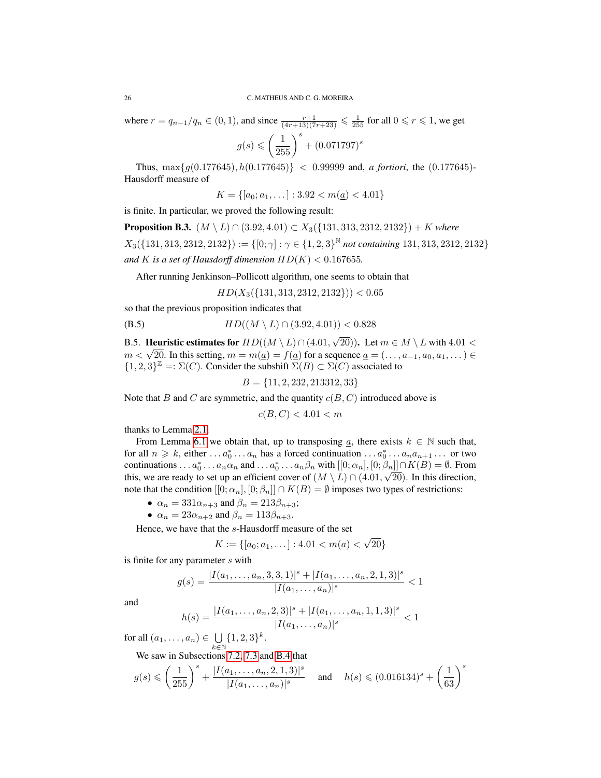where  $r = q_{n-1}/q_n \in (0, 1)$ , and since  $\frac{r+1}{(4r+13)(7r+23)} \leq \frac{1}{255}$  for all  $0 \leq r \leq 1$ , we get

$$
g(s) \leqslant \left(\frac{1}{255}\right)^s + (0.071797)^s
$$

Thus,  $\max\{g(0.177645), h(0.177645)\}$  < 0.99999 and, *a fortiori*, the (0.177645)-Hausdorff measure of

$$
K = \{ [a_0; a_1, \dots] : 3.92 < m(\underline{a}) < 4.01 \}
$$

is finite. In particular, we proved the following result:

**Proposition B.3.**  $(M \setminus L) ∩ (3.92, 4.01) ⊂ X_3({131, 313, 2312, 2132}) + K$  where  $X_3({131, 313, 2312, 2132}) := { [0; \gamma] : \gamma \in {1, 2, 3}^{\mathbb{N}}}$  not containing 131, 313, 2312, 2132} and *K* is a set of Hausdorff dimension  $HD(K) < 0.167655$ .

After running Jenkinson–Pollicott algorithm, one seems to obtain that

<span id="page-25-0"></span> $HD(X_3({131, 313, 2312, 2132})) < 0.65$ 

so that the previous proposition indicates that

(B.5) 
$$
HD((M \setminus L) \cap (3.92, 4.01)) < 0.828
$$

B.5. Heuristic estimates for  $HD((M \setminus L) \cap (4.01,$ √ 20)). Let  $m \in M \setminus L$  with  $4.01 <$ **EXECTE EXECUTE: EXECUTE:**  $m < \sqrt{20}$ . In this setting,  $m = m(\underline{a}) = f(\underline{a})$  for a sequence  $\underline{a} = (\dots, a_{-1}, a_0, a_1, \dots) \in$  ${1, 2, 3}^{\mathbb{Z}} = \Sigma(C)$ . Consider the subshift  $\Sigma(B) \subset \Sigma(C)$  associated to

$$
B = \{11, 2, 232, 213312, 33\}
$$

Note that B and C are symmetric, and the quantity  $c(B, C)$  introduced above is

$$
c(B, C) < 4.01 < m
$$

thanks to Lemma [2.1.](#page-6-3)

From Lemma [6.1](#page-12-0) we obtain that, up to transposing  $\underline{a}$ , there exists  $k \in \mathbb{N}$  such that, for all  $n \geq k$ , either  $\dots a_0^* \dots a_n$  has a forced continuation  $\dots a_0^* \dots a_n a_{n+1} \dots$  or two continuations . . .  $a_0^*$  . . .  $a_n \alpha_n$  and . . .  $a_0^*$  . . .  $a_n \beta_n$  with  $[[0; \alpha_n], [0; \beta_n]] \cap K(B) = \emptyset$ . From this, we are ready to set up an efficient cover of  $(M \setminus L) \cap (4.01, \sqrt{20})$ . In this direction, note that the condition  $[0; \alpha_n]$ ,  $[0; \beta_n] \cap K(B) = \emptyset$  imposes two types of restrictions:

- $\alpha_n = 331\alpha_{n+3}$  and  $\beta_n = 213\beta_{n+3}$ ;
- $\alpha_n = 23\alpha_{n+2}$  and  $\beta_n = 113\beta_{n+3}$ .

Hence, we have that the s-Hausdorff measure of the set

$$
K := \{ [a_0; a_1, \dots] : 4.01 < m(\underline{a}) < \sqrt{20} \}
$$

is finite for any parameter s with

$$
g(s) = \frac{|I(a_1, \dots, a_n, 3, 3, 1)|^s + |I(a_1, \dots, a_n, 2, 1, 3)|^s}{|I(a_1, \dots, a_n)|^s} < 1
$$

and

$$
h(s) = \frac{|I(a_1, \dots, a_n, 2, 3)|^s + |I(a_1, \dots, a_n, 1, 1, 3)|^s}{|I(a_1, \dots, a_n)|^s} < 1
$$

for all  $(a_1, \ldots, a_n) \in \bigcup$  $k\bar{\in}\mathbb{N}$  $\{1, 2, 3\}^k$ .

We saw in Subsections [7.2,](#page-15-3) [7.3](#page-17-0) and [B.4](#page-24-0) that

$$
g(s) \leqslant \left(\frac{1}{255}\right)^s + \frac{|I(a_1, \dots, a_n, 2, 1, 3)|^s}{|I(a_1, \dots, a_n)|^s} \quad \text{ and } \quad h(s) \leqslant (0.016134)^s + \left(\frac{1}{63}\right)^s
$$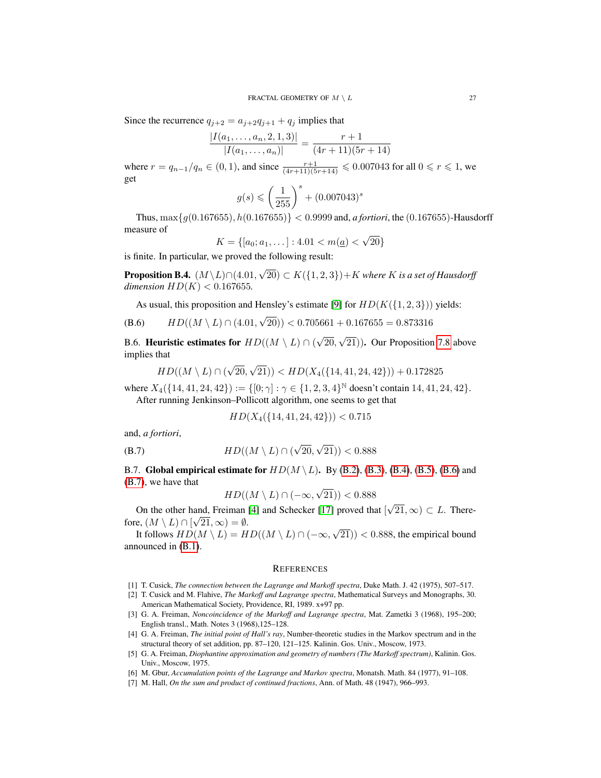Since the recurrence  $q_{j+2} = a_{j+2}q_{j+1} + q_j$  implies that

$$
\frac{|I(a_1,\ldots,a_n,2,1,3)|}{|I(a_1,\ldots,a_n)|} = \frac{r+1}{(4r+11)(5r+14)}
$$

where  $r = q_{n-1}/q_n \in (0, 1)$ , and since  $\frac{r+1}{(4r+11)(5r+14)} \le 0.007043$  for all  $0 \le r \le 1$ , we get

$$
g(s) \leqslant \left(\frac{1}{255}\right)^s + (0.007043)^s
$$

Thus,  $\max\{g(0.167655), h(0.167655)\} < 0.9999$  and, *a fortiori*, the (0.167655)-Hausdorff measure of √

$$
K = \{ [a_0; a_1, \dots] : 4.01 < m(\underline{a}) < \sqrt{20} \}
$$

is finite. In particular, we proved the following result:

<span id="page-26-7"></span>**Proposition B.4.**  $(M\backslash L)\cap (4.01,$ √  $(20)$  ⊂  $K({1, 2, 3})$  +  $K$  where  $K$  is a set of Hausdorff *dimension*  $HD(K) < 0.167655$ .

<span id="page-26-8"></span>As usual, this proposition and Hensley's estimate [\[9\]](#page-27-7) for  $HD(K({1, 2, 3}))$  yields:

(B.6) 
$$
HD((M \setminus L) \cap (4.01, \sqrt{20})) < 0.705661 + 0.167655 = 0.873316
$$

B.6. Heuristic estimates for  $HD((M \setminus L) \cap ($ √ 20, √ 21)). Our Proposition [7.8](#page-19-0) above implies that

$$
HD((M \setminus L) \cap (\sqrt{20}, \sqrt{21})) < HD(X_4(\{14, 41, 24, 42\})) + 0.172825
$$

where  $X_4({14, 41, 24, 42}) := {[0; \gamma] : \gamma \in {1, 2, 3, 4}^{\mathbb{N}}$  doesn't contain 14, 41, 24, 42. After running Jenkinson–Pollicott algorithm, one seems to get that

<span id="page-26-9"></span>
$$
HD(X_4(\{14, 41, 24, 42\})) < 0.715
$$

and, *a fortiori*,

(B.7) 
$$
HD((M \setminus L) \cap (\sqrt{20}, \sqrt{21})) < 0.888
$$

B.7. Global empirical estimate for  $HD(M \setminus L)$ . By [\(B.2\)](#page-22-2), [\(B.3\)](#page-23-0), [\(B.4\)](#page-24-1), [\(B.5\)](#page-25-0), [\(B.6\)](#page-26-8) and [\(B.7\)](#page-26-9), we have that √

$$
HD((M \setminus L) \cap (-\infty, \sqrt{21})) < 0.888
$$

On the other hand, Freiman [\[4\]](#page-26-1) and Schecker [\[17\]](#page-27-2) proved that [ √ and, Freiman [4] and Schecker [17] proved that  $[\sqrt{21}, \infty) \subset L$ . Therefore,  $(M \setminus L) \cap [\sqrt{21}, \infty) = \emptyset$ . √

It follows  $HD(M \setminus L) = HD((M \setminus L) \cap (-\infty,$  $(21))$  < 0.888, the empirical bound announced in [\(B.1\)](#page-22-3).

#### **REFERENCES**

- <span id="page-26-4"></span>[1] T. Cusick, *The connection between the Lagrange and Markoff spectra*, Duke Math. J. 42 (1975), 507–517.
- <span id="page-26-5"></span>[2] T. Cusick and M. Flahive, *The Markoff and Lagrange spectra*, Mathematical Surveys and Monographs, 30. American Mathematical Society, Providence, RI, 1989. x+97 pp.
- <span id="page-26-3"></span>[3] G. A. Freiman, *Noncoincidence of the Markoff and Lagrange spectra*, Mat. Zametki 3 (1968), 195–200; English transl., Math. Notes 3 (1968),125–128.
- <span id="page-26-1"></span>[4] G. A. Freiman, *The initial point of Hall's ray*, Number-theoretic studies in the Markov spectrum and in the structural theory of set addition, pp. 87–120, 121–125. Kalinin. Gos. Univ., Moscow, 1973.
- <span id="page-26-2"></span>[5] G. A. Freiman, *Diophantine approximation and geometry of numbers (The Markoff spectrum)*, Kalinin. Gos. Univ., Moscow, 1975.
- <span id="page-26-6"></span>[6] M. Gbur, *Accumulation points of the Lagrange and Markov spectra*, Monatsh. Math. 84 (1977), 91–108.
- <span id="page-26-0"></span>[7] M. Hall, *On the sum and product of continued fractions*, Ann. of Math. 48 (1947), 966–993.